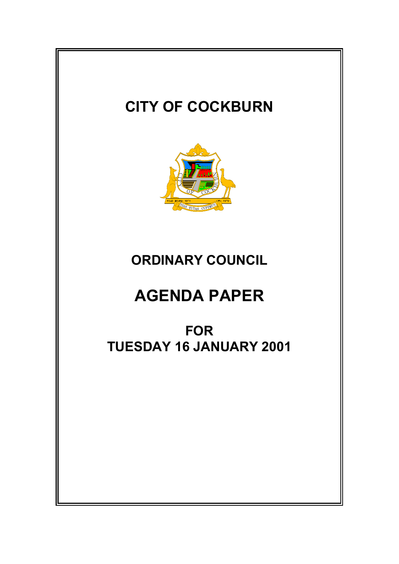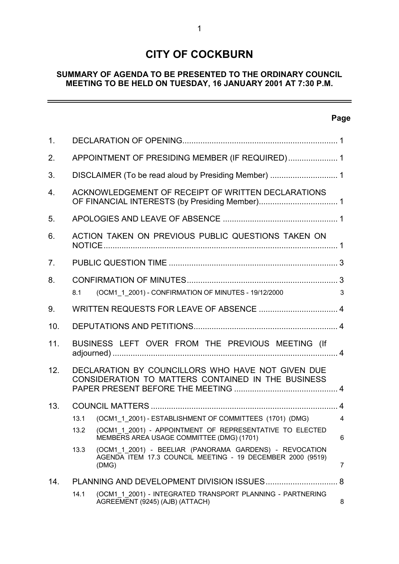## **CITY OF COCKBURN**

## **SUMMARY OF AGENDA TO BE PRESENTED TO THE ORDINARY COUNCIL MEETING TO BE HELD ON TUESDAY, 16 JANUARY 2001 AT 7:30 P.M.**

## **Page**

 $\equiv$ 

| 1.  |                                                 |                                                                                                                                |                |  |
|-----|-------------------------------------------------|--------------------------------------------------------------------------------------------------------------------------------|----------------|--|
| 2.  | APPOINTMENT OF PRESIDING MEMBER (IF REQUIRED) 1 |                                                                                                                                |                |  |
| 3.  |                                                 |                                                                                                                                |                |  |
| 4.  |                                                 | ACKNOWLEDGEMENT OF RECEIPT OF WRITTEN DECLARATIONS                                                                             |                |  |
| 5.  |                                                 |                                                                                                                                |                |  |
| 6.  |                                                 | ACTION TAKEN ON PREVIOUS PUBLIC QUESTIONS TAKEN ON                                                                             |                |  |
| 7.  |                                                 |                                                                                                                                |                |  |
| 8.  |                                                 |                                                                                                                                |                |  |
|     | 8.1                                             | (OCM1 1 2001) - CONFIRMATION OF MINUTES - 19/12/2000                                                                           | 3              |  |
| 9.  |                                                 |                                                                                                                                |                |  |
| 10. |                                                 |                                                                                                                                |                |  |
| 11. |                                                 | BUSINESS LEFT OVER FROM THE PREVIOUS MEETING (If                                                                               |                |  |
| 12. |                                                 | DECLARATION BY COUNCILLORS WHO HAVE NOT GIVEN DUE<br>CONSIDERATION TO MATTERS CONTAINED IN THE BUSINESS                        |                |  |
| 13. |                                                 |                                                                                                                                |                |  |
|     | 13.1                                            | (OCM1 1 2001) - ESTABLISHMENT OF COMMITTEES (1701) (DMG)                                                                       | $\overline{4}$ |  |
|     | 13.2                                            | (OCM1 1 2001) - APPOINTMENT OF REPRESENTATIVE TO ELECTED<br>MEMBERS AREA USAGE COMMITTEE (DMG) (1701)                          | 6              |  |
|     | 13.3                                            | (OCM1 1 2001) - BEELIAR (PANORAMA GARDENS) - REVOCATION<br>AGENDA ITEM 17.3 COUNCIL MEETING - 19 DECEMBER 2000 (9519)<br>(DMG) | $\overline{7}$ |  |
| 14. |                                                 |                                                                                                                                |                |  |
|     | 14.1                                            | (OCM1 1 2001) - INTEGRATED TRANSPORT PLANNING - PARTNERING<br>AGREEMENT (9245) (AJB) (ATTACH)                                  | 8              |  |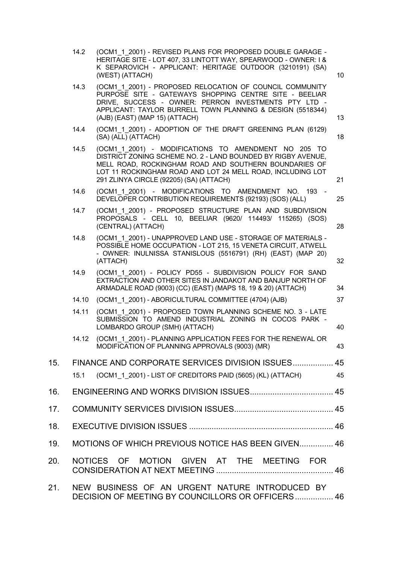|     | 14.2  | (OCM1 1 2001) - REVISED PLANS FOR PROPOSED DOUBLE GARAGE -<br>HERITAGE SITE - LOT 407, 33 LINTOTT WAY, SPEARWOOD - OWNER: I &<br>K SEPAROVICH - APPLICANT: HERITAGE OUTDOOR (3210191) (SA)<br>(WEST) (ATTACH)                                                                          | 10 |
|-----|-------|----------------------------------------------------------------------------------------------------------------------------------------------------------------------------------------------------------------------------------------------------------------------------------------|----|
|     | 14.3  | (OCM1 1 2001) - PROPOSED RELOCATION OF COUNCIL COMMUNITY<br>PURPOSE SITE - GATEWAYS SHOPPING CENTRE SITE - BEELIAR<br>DRIVE, SUCCESS - OWNER: PERRON INVESTMENTS PTY LTD -<br>APPLICANT: TAYLOR BURRELL TOWN PLANNING & DESIGN (5518344)<br>(AJB) (EAST) (MAP 15) (ATTACH)             | 13 |
|     | 14.4  | (OCM1 1 2001) - ADOPTION OF THE DRAFT GREENING PLAN (6129)<br>(SA) (ALL) (ATTACH)                                                                                                                                                                                                      | 18 |
|     | 14.5  | (OCM1 1 2001) - MODIFICATIONS TO AMENDMENT NO 205 TO<br>DISTRICT ZONING SCHEME NO. 2 - LAND BOUNDED BY RIGBY AVENUE,<br>MELL ROAD, ROCKINGHAM ROAD AND SOUTHERN BOUNDARIES OF<br>LOT 11 ROCKINGHAM ROAD AND LOT 24 MELL ROAD, INCLUDING LOT<br>291 ZLINYA CIRCLE (92205) (SA) (ATTACH) | 21 |
|     | 14.6  | (OCM1 1 2001) - MODIFICATIONS TO AMENDMENT NO. 193 -<br>DEVELOPER CONTRIBUTION REQUIREMENTS (92193) (SOS) (ALL)                                                                                                                                                                        | 25 |
|     | 14.7  | (OCM1 1 2001) - PROPOSED STRUCTURE PLAN AND SUBDIVISION<br>PROPOSALS - CELL 10, BEELIAR (9620/ 114493/ 115265) (SOS)<br>(CENTRAL) (ATTACH)                                                                                                                                             | 28 |
|     | 14.8  | (OCM1 1 2001) - UNAPPROVED LAND USE - STORAGE OF MATERIALS -<br>POSSIBLE HOME OCCUPATION - LOT 215, 15 VENETA CIRCUIT, ATWELL<br>- OWNER: INULNISSA STANISLOUS (5516791) (RH) (EAST) (MAP 20)<br>(ATTACH)                                                                              | 32 |
|     | 14.9  | (OCM1 1 2001) - POLICY PD55 - SUBDIVISION POLICY FOR SAND<br>EXTRACTION AND OTHER SITES IN JANDAKOT AND BANJUP NORTH OF<br>ARMADALE ROAD (9003) (CC) (EAST) (MAPS 18, 19 & 20) (ATTACH)                                                                                                | 34 |
|     | 14.10 | (OCM1 1 2001) - ABORICULTURAL COMMITTEE (4704) (AJB)                                                                                                                                                                                                                                   | 37 |
|     | 14.11 | (OCM1 1 2001) - PROPOSED TOWN PLANNING SCHEME NO. 3 - LATE<br>SUBMISSION TO AMEND INDUSTRIAL ZONING IN COCOS PARK -<br>LOMBARDO GROUP (SMH) (ATTACH)                                                                                                                                   | 40 |
|     | 14.12 | (OCM1 1 2001) - PLANNING APPLICATION FEES FOR THE RENEWAL OR<br>MODIFICATION OF PLANNING APPROVALS (9003) (MR)                                                                                                                                                                         | 43 |
|     |       | 15. FINANCE AND CORPORATE SERVICES DIVISION ISSUES 45                                                                                                                                                                                                                                  |    |
|     | 15.1  | (OCM1 1 2001) - LIST OF CREDITORS PAID (5605) (KL) (ATTACH)                                                                                                                                                                                                                            | 45 |
| 16. |       |                                                                                                                                                                                                                                                                                        |    |
| 17. |       |                                                                                                                                                                                                                                                                                        |    |
| 18. |       |                                                                                                                                                                                                                                                                                        |    |
| 19. |       | MOTIONS OF WHICH PREVIOUS NOTICE HAS BEEN GIVEN 46                                                                                                                                                                                                                                     |    |
| 20. |       | NOTICES OF MOTION GIVEN AT THE MEETING FOR                                                                                                                                                                                                                                             |    |
| 21. |       | NEW BUSINESS OF AN URGENT NATURE INTRODUCED BY<br>DECISION OF MEETING BY COUNCILLORS OR OFFICERS 46                                                                                                                                                                                    |    |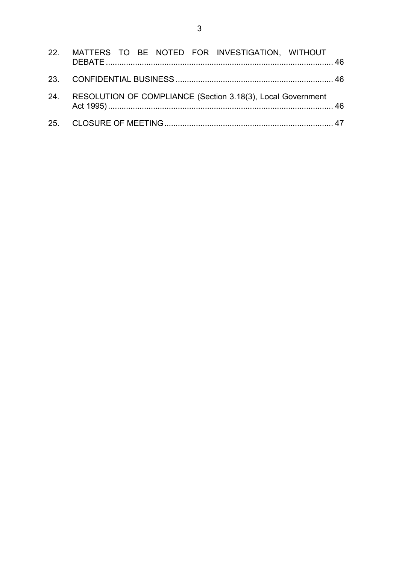| 22. MATTERS TO BE NOTED FOR INVESTIGATION, WITHOUT              |  |
|-----------------------------------------------------------------|--|
|                                                                 |  |
| 24. RESOLUTION OF COMPLIANCE (Section 3.18(3), Local Government |  |
|                                                                 |  |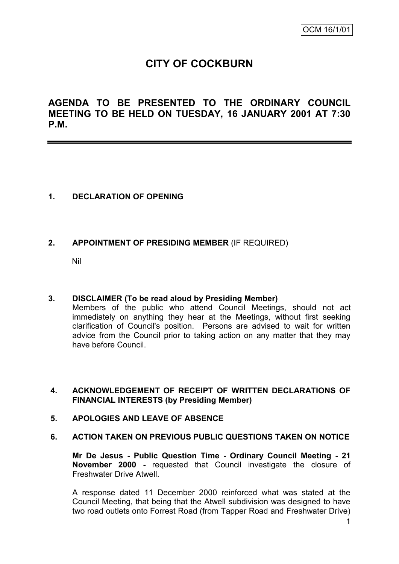## **CITY OF COCKBURN**

**AGENDA TO BE PRESENTED TO THE ORDINARY COUNCIL MEETING TO BE HELD ON TUESDAY, 16 JANUARY 2001 AT 7:30 P.M.**

## **1. DECLARATION OF OPENING**

## **2. APPOINTMENT OF PRESIDING MEMBER** (IF REQUIRED)

Nil

#### **3. DISCLAIMER (To be read aloud by Presiding Member)**

Members of the public who attend Council Meetings, should not act immediately on anything they hear at the Meetings, without first seeking clarification of Council's position. Persons are advised to wait for written advice from the Council prior to taking action on any matter that they may have before Council.

#### **4. ACKNOWLEDGEMENT OF RECEIPT OF WRITTEN DECLARATIONS OF FINANCIAL INTERESTS (by Presiding Member)**

#### **5. APOLOGIES AND LEAVE OF ABSENCE**

**6. ACTION TAKEN ON PREVIOUS PUBLIC QUESTIONS TAKEN ON NOTICE**

**Mr De Jesus - Public Question Time - Ordinary Council Meeting - 21 November 2000 -** requested that Council investigate the closure of Freshwater Drive Atwell.

A response dated 11 December 2000 reinforced what was stated at the Council Meeting, that being that the Atwell subdivision was designed to have two road outlets onto Forrest Road (from Tapper Road and Freshwater Drive)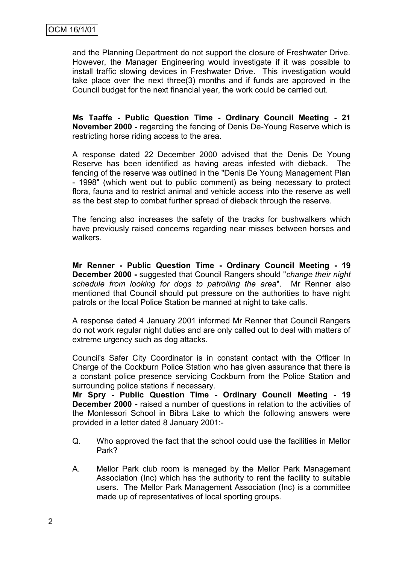and the Planning Department do not support the closure of Freshwater Drive. However, the Manager Engineering would investigate if it was possible to install traffic slowing devices in Freshwater Drive. This investigation would take place over the next three(3) months and if funds are approved in the Council budget for the next financial year, the work could be carried out.

**Ms Taaffe - Public Question Time - Ordinary Council Meeting - 21 November 2000 -** regarding the fencing of Denis De-Young Reserve which is restricting horse riding access to the area.

A response dated 22 December 2000 advised that the Denis De Young Reserve has been identified as having areas infested with dieback. The fencing of the reserve was outlined in the "Denis De Young Management Plan - 1998" (which went out to public comment) as being necessary to protect flora, fauna and to restrict animal and vehicle access into the reserve as well as the best step to combat further spread of dieback through the reserve.

The fencing also increases the safety of the tracks for bushwalkers which have previously raised concerns regarding near misses between horses and walkers.

**Mr Renner - Public Question Time - Ordinary Council Meeting - 19 December 2000 -** suggested that Council Rangers should "*change their night schedule from looking for dogs to patrolling the area*". Mr Renner also mentioned that Council should put pressure on the authorities to have night patrols or the local Police Station be manned at night to take calls.

A response dated 4 January 2001 informed Mr Renner that Council Rangers do not work regular night duties and are only called out to deal with matters of extreme urgency such as dog attacks.

Council's Safer City Coordinator is in constant contact with the Officer In Charge of the Cockburn Police Station who has given assurance that there is a constant police presence servicing Cockburn from the Police Station and surrounding police stations if necessary.

**Mr Spry - Public Question Time - Ordinary Council Meeting - 19 December 2000 -** raised a number of questions in relation to the activities of the Montessori School in Bibra Lake to which the following answers were provided in a letter dated 8 January 2001:-

- Q. Who approved the fact that the school could use the facilities in Mellor Park?
- A. Mellor Park club room is managed by the Mellor Park Management Association (Inc) which has the authority to rent the facility to suitable users. The Mellor Park Management Association (Inc) is a committee made up of representatives of local sporting groups.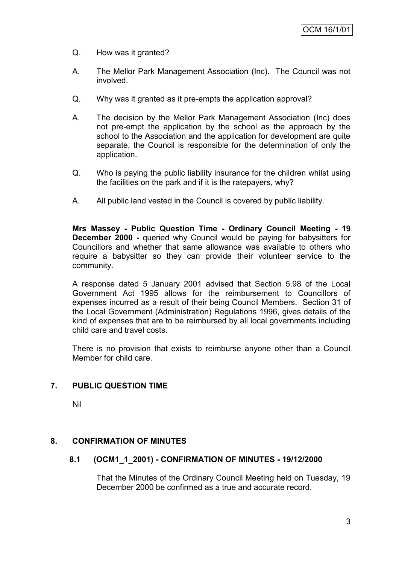- Q. How was it granted?
- A. The Mellor Park Management Association (Inc). The Council was not involved.
- Q. Why was it granted as it pre-empts the application approval?
- A. The decision by the Mellor Park Management Association (Inc) does not pre-empt the application by the school as the approach by the school to the Association and the application for development are quite separate, the Council is responsible for the determination of only the application.
- Q. Who is paying the public liability insurance for the children whilst using the facilities on the park and if it is the ratepayers, why?
- A. All public land vested in the Council is covered by public liability.

**Mrs Massey - Public Question Time - Ordinary Council Meeting - 19 December 2000 -** queried why Council would be paying for babysitters for Councillors and whether that same allowance was available to others who require a babysitter so they can provide their volunteer service to the community.

A response dated 5 January 2001 advised that Section 5.98 of the Local Government Act 1995 allows for the reimbursement to Councillors of expenses incurred as a result of their being Council Members. Section 31 of the Local Government (Administration) Regulations 1996, gives details of the kind of expenses that are to be reimbursed by all local governments including child care and travel costs.

There is no provision that exists to reimburse anyone other than a Council Member for child care.

## **7. PUBLIC QUESTION TIME**

Nil

#### **8. CONFIRMATION OF MINUTES**

## **8.1 (OCM1\_1\_2001) - CONFIRMATION OF MINUTES - 19/12/2000**

That the Minutes of the Ordinary Council Meeting held on Tuesday, 19 December 2000 be confirmed as a true and accurate record.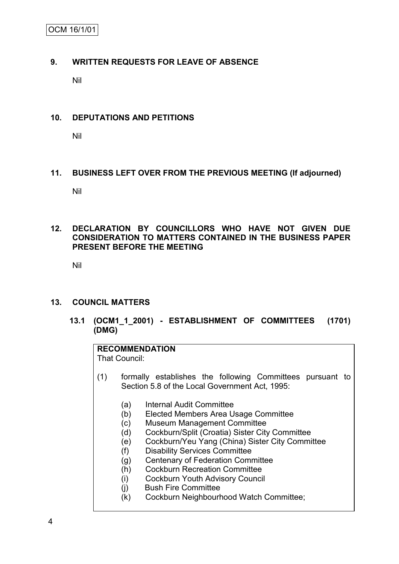OCM 16/1/01

### **9. WRITTEN REQUESTS FOR LEAVE OF ABSENCE**

Nil

### **10. DEPUTATIONS AND PETITIONS**

Nil

## **11. BUSINESS LEFT OVER FROM THE PREVIOUS MEETING (If adjourned)**

Nil

#### **12. DECLARATION BY COUNCILLORS WHO HAVE NOT GIVEN DUE CONSIDERATION TO MATTERS CONTAINED IN THE BUSINESS PAPER PRESENT BEFORE THE MEETING**

Nil

#### **13. COUNCIL MATTERS**

## **13.1 (OCM1\_1\_2001) - ESTABLISHMENT OF COMMITTEES (1701) (DMG)**

## **RECOMMENDATION**

That Council:

- (1) formally establishes the following Committees pursuant to Section 5.8 of the Local Government Act, 1995:
	- (a) Internal Audit Committee
	- (b) Elected Members Area Usage Committee
	- (c) Museum Management Committee
	- (d) Cockburn/Split (Croatia) Sister City Committee
	- (e) Cockburn/Yeu Yang (China) Sister City Committee
	- (f) Disability Services Committee
	- (g) Centenary of Federation Committee
	- (h) Cockburn Recreation Committee
	- (i) Cockburn Youth Advisory Council
	- (j) Bush Fire Committee
	- (k) Cockburn Neighbourhood Watch Committee;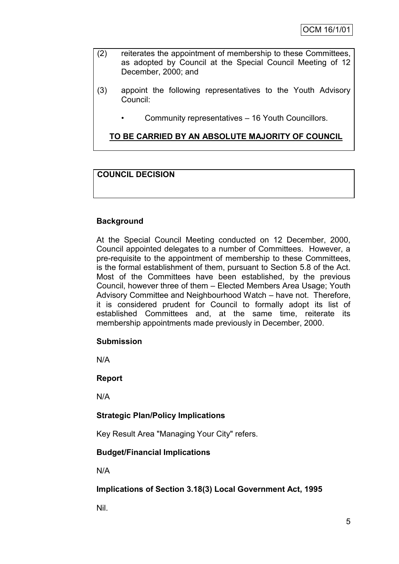- (2) reiterates the appointment of membership to these Committees, as adopted by Council at the Special Council Meeting of 12 December, 2000; and
- (3) appoint the following representatives to the Youth Advisory Council:
	- Community representatives 16 Youth Councillors.

## **TO BE CARRIED BY AN ABSOLUTE MAJORITY OF COUNCIL**

## **COUNCIL DECISION**

## **Background**

At the Special Council Meeting conducted on 12 December, 2000, Council appointed delegates to a number of Committees. However, a pre-requisite to the appointment of membership to these Committees, is the formal establishment of them, pursuant to Section 5.8 of the Act. Most of the Committees have been established, by the previous Council, however three of them – Elected Members Area Usage; Youth Advisory Committee and Neighbourhood Watch – have not. Therefore, it is considered prudent for Council to formally adopt its list of established Committees and, at the same time, reiterate its membership appointments made previously in December, 2000.

#### **Submission**

N/A

#### **Report**

N/A

## **Strategic Plan/Policy Implications**

Key Result Area "Managing Your City" refers.

#### **Budget/Financial Implications**

N/A

## **Implications of Section 3.18(3) Local Government Act, 1995**

Nil.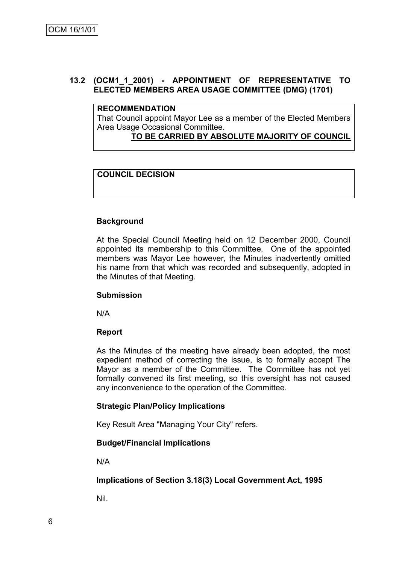## **13.2 (OCM1\_1\_2001) - APPOINTMENT OF REPRESENTATIVE TO ELECTED MEMBERS AREA USAGE COMMITTEE (DMG) (1701)**

## **RECOMMENDATION**

That Council appoint Mayor Lee as a member of the Elected Members Area Usage Occasional Committee.

**TO BE CARRIED BY ABSOLUTE MAJORITY OF COUNCIL**

## **COUNCIL DECISION**

#### **Background**

At the Special Council Meeting held on 12 December 2000, Council appointed its membership to this Committee. One of the appointed members was Mayor Lee however, the Minutes inadvertently omitted his name from that which was recorded and subsequently, adopted in the Minutes of that Meeting.

#### **Submission**

N/A

#### **Report**

As the Minutes of the meeting have already been adopted, the most expedient method of correcting the issue, is to formally accept The Mayor as a member of the Committee. The Committee has not yet formally convened its first meeting, so this oversight has not caused any inconvenience to the operation of the Committee.

#### **Strategic Plan/Policy Implications**

Key Result Area "Managing Your City" refers.

#### **Budget/Financial Implications**

N/A

#### **Implications of Section 3.18(3) Local Government Act, 1995**

Nil.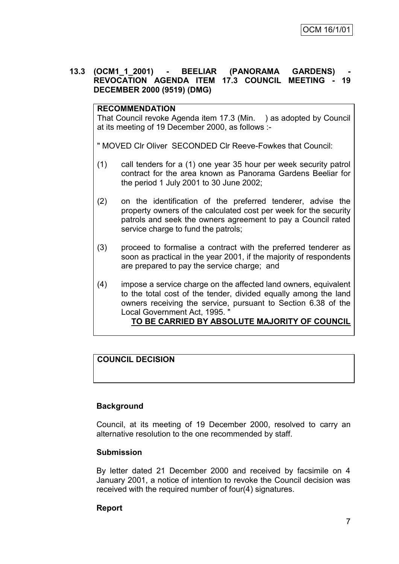#### **13.3 (OCM1\_1\_2001) - BEELIAR (PANORAMA GARDENS) - REVOCATION AGENDA ITEM 17.3 COUNCIL MEETING - 19 DECEMBER 2000 (9519) (DMG)**

#### **RECOMMENDATION**

That Council revoke Agenda item 17.3 (Min. ) as adopted by Council at its meeting of 19 December 2000, as follows :-

" MOVED Clr Oliver SECONDED Clr Reeve-Fowkes that Council:

- (1) call tenders for a (1) one year 35 hour per week security patrol contract for the area known as Panorama Gardens Beeliar for the period 1 July 2001 to 30 June 2002;
- (2) on the identification of the preferred tenderer, advise the property owners of the calculated cost per week for the security patrols and seek the owners agreement to pay a Council rated service charge to fund the patrols;
- (3) proceed to formalise a contract with the preferred tenderer as soon as practical in the year 2001, if the majority of respondents are prepared to pay the service charge; and
- (4) impose a service charge on the affected land owners, equivalent to the total cost of the tender, divided equally among the land owners receiving the service, pursuant to Section 6.38 of the Local Government Act, 1995. "

## **TO BE CARRIED BY ABSOLUTE MAJORITY OF COUNCIL**

## **COUNCIL DECISION**

## **Background**

Council, at its meeting of 19 December 2000, resolved to carry an alternative resolution to the one recommended by staff.

#### **Submission**

By letter dated 21 December 2000 and received by facsimile on 4 January 2001, a notice of intention to revoke the Council decision was received with the required number of four(4) signatures.

#### **Report**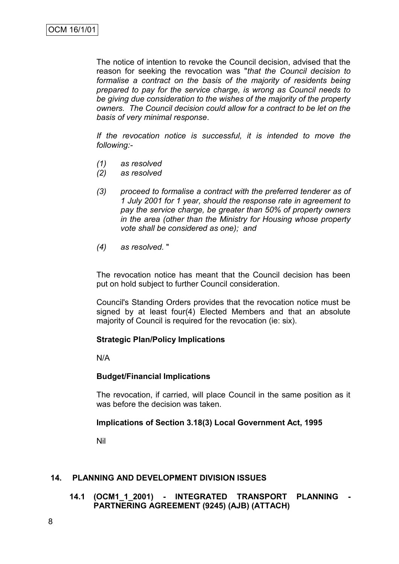The notice of intention to revoke the Council decision, advised that the reason for seeking the revocation was "*that the Council decision to formalise a contract on the basis of the majority of residents being prepared to pay for the service charge, is wrong as Council needs to be giving due consideration to the wishes of the majority of the property owners. The Council decision could allow for a contract to be let on the basis of very minimal response*.

*If the revocation notice is successful, it is intended to move the following:-*

- *(1) as resolved*
- *(2) as resolved*
- *(3) proceed to formalise a contract with the preferred tenderer as of 1 July 2001 for 1 year, should the response rate in agreement to pay the service charge, be greater than 50% of property owners in the area (other than the Ministry for Housing whose property vote shall be considered as one); and*
- *(4) as resolved.* "

The revocation notice has meant that the Council decision has been put on hold subject to further Council consideration.

Council's Standing Orders provides that the revocation notice must be signed by at least four(4) Elected Members and that an absolute majority of Council is required for the revocation (ie: six).

#### **Strategic Plan/Policy Implications**

N/A

#### **Budget/Financial Implications**

The revocation, if carried, will place Council in the same position as it was before the decision was taken.

#### **Implications of Section 3.18(3) Local Government Act, 1995**

Nil

#### **14. PLANNING AND DEVELOPMENT DIVISION ISSUES**

**14.1 (OCM1\_1\_2001) - INTEGRATED TRANSPORT PLANNING - PARTNERING AGREEMENT (9245) (AJB) (ATTACH)**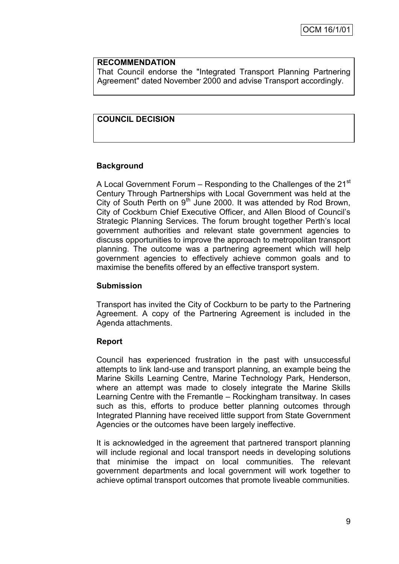#### **RECOMMENDATION**

That Council endorse the "Integrated Transport Planning Partnering Agreement" dated November 2000 and advise Transport accordingly.

## **COUNCIL DECISION**

## **Background**

A Local Government Forum – Responding to the Challenges of the  $21<sup>st</sup>$ Century Through Partnerships with Local Government was held at the City of South Perth on  $9<sup>th</sup>$  June 2000. It was attended by Rod Brown, City of Cockburn Chief Executive Officer, and Allen Blood of Council's Strategic Planning Services. The forum brought together Perth's local government authorities and relevant state government agencies to discuss opportunities to improve the approach to metropolitan transport planning. The outcome was a partnering agreement which will help government agencies to effectively achieve common goals and to maximise the benefits offered by an effective transport system.

#### **Submission**

Transport has invited the City of Cockburn to be party to the Partnering Agreement. A copy of the Partnering Agreement is included in the Agenda attachments.

#### **Report**

Council has experienced frustration in the past with unsuccessful attempts to link land-use and transport planning, an example being the Marine Skills Learning Centre, Marine Technology Park, Henderson, where an attempt was made to closely integrate the Marine Skills Learning Centre with the Fremantle – Rockingham transitway. In cases such as this, efforts to produce better planning outcomes through Integrated Planning have received little support from State Government Agencies or the outcomes have been largely ineffective.

It is acknowledged in the agreement that partnered transport planning will include regional and local transport needs in developing solutions that minimise the impact on local communities. The relevant government departments and local government will work together to achieve optimal transport outcomes that promote liveable communities.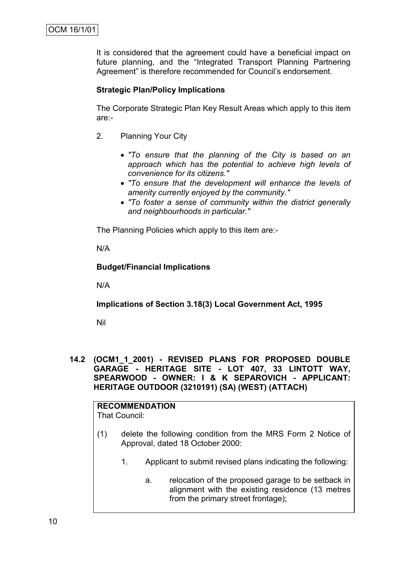It is considered that the agreement could have a beneficial impact on future planning, and the "Integrated Transport Planning Partnering Agreement" is therefore recommended for Council's endorsement.

## **Strategic Plan/Policy Implications**

The Corporate Strategic Plan Key Result Areas which apply to this item are:-

- 2. Planning Your City
	- *"To ensure that the planning of the City is based on an approach which has the potential to achieve high levels of convenience for its citizens."*
	- *"To ensure that the development will enhance the levels of amenity currently enjoyed by the community."*
	- *"To foster a sense of community within the district generally and neighbourhoods in particular."*

The Planning Policies which apply to this item are:-

N/A

#### **Budget/Financial Implications**

N/A

**Implications of Section 3.18(3) Local Government Act, 1995**

Nil

**14.2 (OCM1\_1\_2001) - REVISED PLANS FOR PROPOSED DOUBLE GARAGE - HERITAGE SITE - LOT 407, 33 LINTOTT WAY, SPEARWOOD - OWNER: I & K SEPAROVICH - APPLICANT: HERITAGE OUTDOOR (3210191) (SA) (WEST) (ATTACH)**

| <b>RECOMMENDATION</b>                                |
|------------------------------------------------------|
| $T_{\text{total}} \cap \ldots \cap T_{\text{total}}$ |

That Council:

- (1) delete the following condition from the MRS Form 2 Notice of Approval, dated 18 October 2000:
	- 1. Applicant to submit revised plans indicating the following:
		- a. relocation of the proposed garage to be setback in alignment with the existing residence (13 metres from the primary street frontage);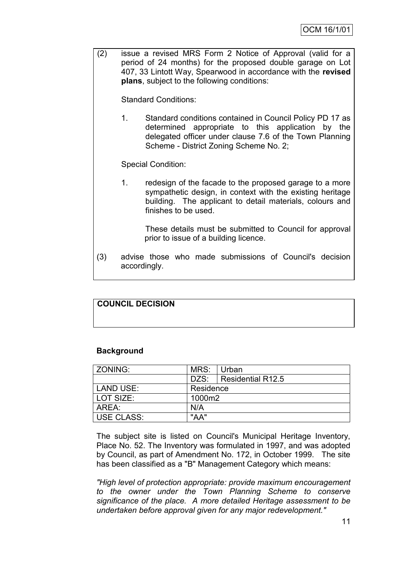(2) issue a revised MRS Form 2 Notice of Approval (valid for a period of 24 months) for the proposed double garage on Lot 407, 33 Lintott Way, Spearwood in accordance with the **revised plans**, subject to the following conditions:

Standard Conditions:

1. Standard conditions contained in Council Policy PD 17 as determined appropriate to this application by the delegated officer under clause 7.6 of the Town Planning Scheme - District Zoning Scheme No. 2;

Special Condition:

1. redesign of the facade to the proposed garage to a more sympathetic design, in context with the existing heritage building. The applicant to detail materials, colours and finishes to be used.

These details must be submitted to Council for approval prior to issue of a building licence.

(3) advise those who made submissions of Council's decision accordingly.

## **COUNCIL DECISION**

#### **Background**

| ZONING:           | MRS:      | Urban             |
|-------------------|-----------|-------------------|
|                   | DZS:      | Residential R12.5 |
| LAND USE:         | Residence |                   |
| LOT SIZE:         | 1000m2    |                   |
| AREA:             | N/A       |                   |
| <b>USE CLASS:</b> | "AA"      |                   |

The subject site is listed on Council's Municipal Heritage Inventory, Place No. 52. The Inventory was formulated in 1997, and was adopted by Council, as part of Amendment No. 172, in October 1999. The site has been classified as a "B" Management Category which means:

*"High level of protection appropriate: provide maximum encouragement to the owner under the Town Planning Scheme to conserve significance of the place. A more detailed Heritage assessment to be undertaken before approval given for any major redevelopment."*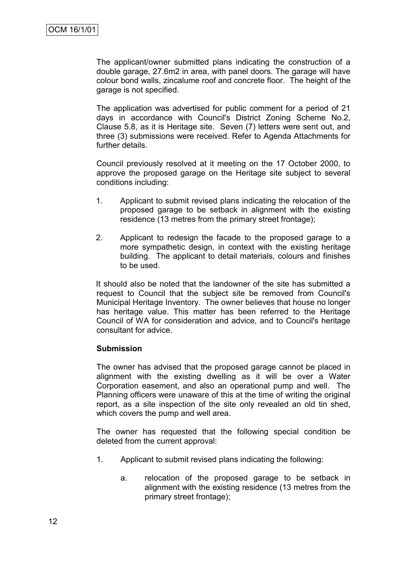The applicant/owner submitted plans indicating the construction of a double garage, 27.6m2 in area, with panel doors. The garage will have colour bond walls, zincalume roof and concrete floor. The height of the garage is not specified.

The application was advertised for public comment for a period of 21 days in accordance with Council's District Zoning Scheme No.2, Clause 5.8, as it is Heritage site. Seven (7) letters were sent out, and three (3) submissions were received. Refer to Agenda Attachments for further details.

Council previously resolved at it meeting on the 17 October 2000, to approve the proposed garage on the Heritage site subject to several conditions including:

- 1. Applicant to submit revised plans indicating the relocation of the proposed garage to be setback in alignment with the existing residence (13 metres from the primary street frontage);
- 2. Applicant to redesign the facade to the proposed garage to a more sympathetic design, in context with the existing heritage building. The applicant to detail materials, colours and finishes to be used.

It should also be noted that the landowner of the site has submitted a request to Council that the subject site be removed from Council's Municipal Heritage Inventory. The owner believes that house no longer has heritage value. This matter has been referred to the Heritage Council of WA for consideration and advice, and to Council's heritage consultant for advice.

#### **Submission**

The owner has advised that the proposed garage cannot be placed in alignment with the existing dwelling as it will be over a Water Corporation easement, and also an operational pump and well. The Planning officers were unaware of this at the time of writing the original report, as a site inspection of the site only revealed an old tin shed, which covers the pump and well area.

The owner has requested that the following special condition be deleted from the current approval:

- 1. Applicant to submit revised plans indicating the following:
	- a. relocation of the proposed garage to be setback in alignment with the existing residence (13 metres from the primary street frontage);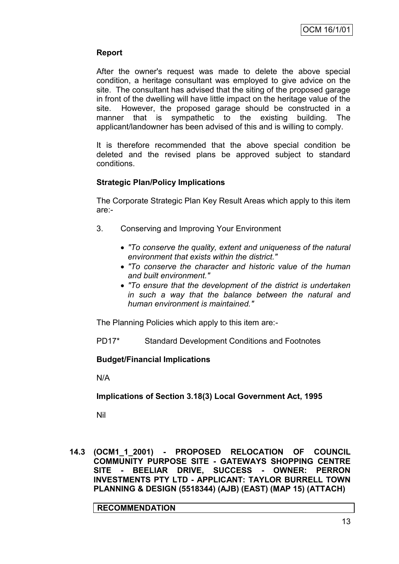## **Report**

After the owner's request was made to delete the above special condition, a heritage consultant was employed to give advice on the site. The consultant has advised that the siting of the proposed garage in front of the dwelling will have little impact on the heritage value of the site. However, the proposed garage should be constructed in a manner that is sympathetic to the existing building. The applicant/landowner has been advised of this and is willing to comply.

It is therefore recommended that the above special condition be deleted and the revised plans be approved subject to standard conditions.

## **Strategic Plan/Policy Implications**

The Corporate Strategic Plan Key Result Areas which apply to this item are:-

- 3. Conserving and Improving Your Environment
	- *"To conserve the quality, extent and uniqueness of the natural environment that exists within the district."*
	- *"To conserve the character and historic value of the human and built environment."*
	- *"To ensure that the development of the district is undertaken in such a way that the balance between the natural and human environment is maintained."*

The Planning Policies which apply to this item are:-

PD17\* Standard Development Conditions and Footnotes

#### **Budget/Financial Implications**

N/A

**Implications of Section 3.18(3) Local Government Act, 1995**

Nil

**14.3 (OCM1\_1\_2001) - PROPOSED RELOCATION OF COUNCIL COMMUNITY PURPOSE SITE - GATEWAYS SHOPPING CENTRE SITE - BEELIAR DRIVE, SUCCESS - OWNER: PERRON INVESTMENTS PTY LTD - APPLICANT: TAYLOR BURRELL TOWN PLANNING & DESIGN (5518344) (AJB) (EAST) (MAP 15) (ATTACH)**

**RECOMMENDATION**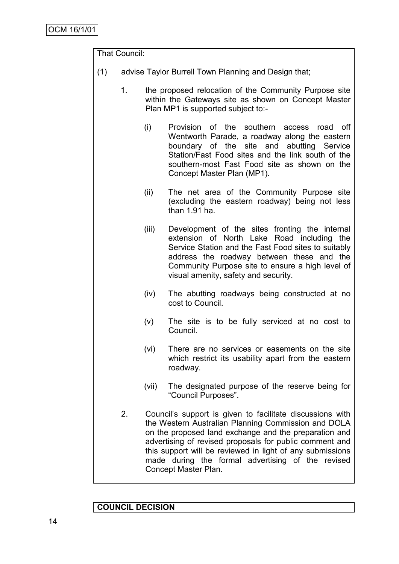That Council:

- (1) advise Taylor Burrell Town Planning and Design that;
	- 1. the proposed relocation of the Community Purpose site within the Gateways site as shown on Concept Master Plan MP1 is supported subject to:-
		- (i) Provision of the southern access road off Wentworth Parade, a roadway along the eastern boundary of the site and abutting Service Station/Fast Food sites and the link south of the southern-most Fast Food site as shown on the Concept Master Plan (MP1).
		- (ii) The net area of the Community Purpose site (excluding the eastern roadway) being not less than 1.91 ha.
		- (iii) Development of the sites fronting the internal extension of North Lake Road including the Service Station and the Fast Food sites to suitably address the roadway between these and the Community Purpose site to ensure a high level of visual amenity, safety and security.
		- (iv) The abutting roadways being constructed at no cost to Council.
		- (v) The site is to be fully serviced at no cost to Council.
		- (vi) There are no services or easements on the site which restrict its usability apart from the eastern roadway.
		- (vii) The designated purpose of the reserve being for "Council Purposes".
	- 2. Council's support is given to facilitate discussions with the Western Australian Planning Commission and DOLA on the proposed land exchange and the preparation and advertising of revised proposals for public comment and this support will be reviewed in light of any submissions made during the formal advertising of the revised Concept Master Plan.

## **COUNCIL DECISION**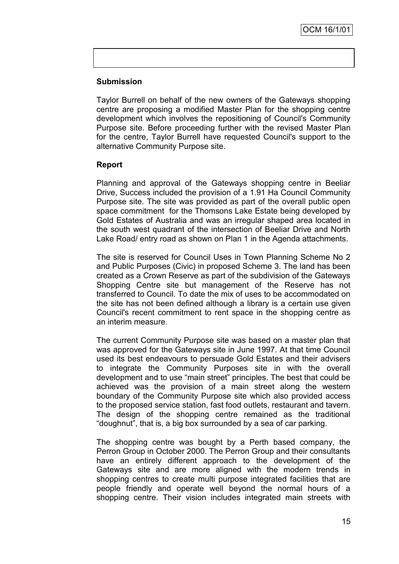## **Submission**

Taylor Burrell on behalf of the new owners of the Gateways shopping centre are proposing a modified Master Plan for the shopping centre development which involves the repositioning of Council's Community Purpose site. Before proceeding further with the revised Master Plan for the centre, Taylor Burrell have requested Council's support to the alternative Community Purpose site.

## **Report**

Planning and approval of the Gateways shopping centre in Beeliar Drive, Success included the provision of a 1.91 Ha Council Community Purpose site. The site was provided as part of the overall public open space commitment for the Thomsons Lake Estate being developed by Gold Estates of Australia and was an irregular shaped area located in the south west quadrant of the intersection of Beeliar Drive and North Lake Road/ entry road as shown on Plan 1 in the Agenda attachments.

The site is reserved for Council Uses in Town Planning Scheme No 2 and Public Purposes (Civic) in proposed Scheme 3. The land has been created as a Crown Reserve as part of the subdivision of the Gateways Shopping Centre site but management of the Reserve has not transferred to Council. To date the mix of uses to be accommodated on the site has not been defined although a library is a certain use given Council's recent commitment to rent space in the shopping centre as an interim measure.

The current Community Purpose site was based on a master plan that was approved for the Gateways site in June 1997. At that time Council used its best endeavours to persuade Gold Estates and their advisers to integrate the Community Purposes site in with the overall development and to use "main street" principles. The best that could be achieved was the provision of a main street along the western boundary of the Community Purpose site which also provided access to the proposed service station, fast food outlets, restaurant and tavern. The design of the shopping centre remained as the traditional "doughnut", that is, a big box surrounded by a sea of car parking.

The shopping centre was bought by a Perth based company, the Perron Group in October 2000. The Perron Group and their consultants have an entirely different approach to the development of the Gateways site and are more aligned with the modern trends in shopping centres to create multi purpose integrated facilities that are people friendly and operate well beyond the normal hours of a shopping centre. Their vision includes integrated main streets with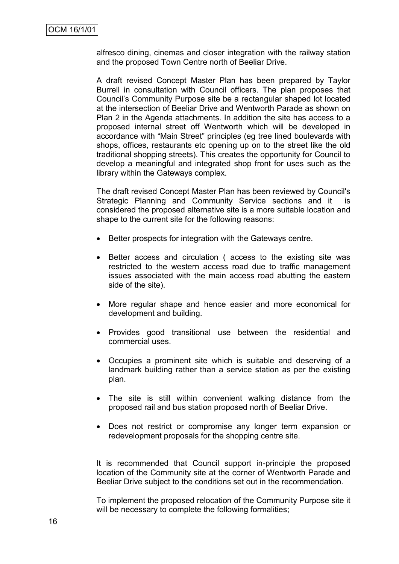alfresco dining, cinemas and closer integration with the railway station and the proposed Town Centre north of Beeliar Drive.

A draft revised Concept Master Plan has been prepared by Taylor Burrell in consultation with Council officers. The plan proposes that Council's Community Purpose site be a rectangular shaped lot located at the intersection of Beeliar Drive and Wentworth Parade as shown on Plan 2 in the Agenda attachments. In addition the site has access to a proposed internal street off Wentworth which will be developed in accordance with "Main Street" principles (eg tree lined boulevards with shops, offices, restaurants etc opening up on to the street like the old traditional shopping streets). This creates the opportunity for Council to develop a meaningful and integrated shop front for uses such as the library within the Gateways complex.

The draft revised Concept Master Plan has been reviewed by Council's Strategic Planning and Community Service sections and it is considered the proposed alternative site is a more suitable location and shape to the current site for the following reasons:

- Better prospects for integration with the Gateways centre.
- Better access and circulation (access to the existing site was restricted to the western access road due to traffic management issues associated with the main access road abutting the eastern side of the site).
- More regular shape and hence easier and more economical for development and building.
- Provides good transitional use between the residential and commercial uses.
- Occupies a prominent site which is suitable and deserving of a landmark building rather than a service station as per the existing plan.
- The site is still within convenient walking distance from the proposed rail and bus station proposed north of Beeliar Drive.
- Does not restrict or compromise any longer term expansion or redevelopment proposals for the shopping centre site.

It is recommended that Council support in-principle the proposed location of the Community site at the corner of Wentworth Parade and Beeliar Drive subject to the conditions set out in the recommendation.

To implement the proposed relocation of the Community Purpose site it will be necessary to complete the following formalities;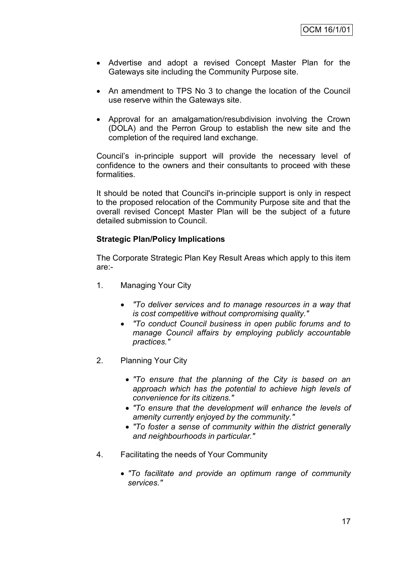- Advertise and adopt a revised Concept Master Plan for the Gateways site including the Community Purpose site.
- An amendment to TPS No 3 to change the location of the Council use reserve within the Gateways site.
- Approval for an amalgamation/resubdivision involving the Crown (DOLA) and the Perron Group to establish the new site and the completion of the required land exchange.

Council's in-principle support will provide the necessary level of confidence to the owners and their consultants to proceed with these formalities.

It should be noted that Council's in-principle support is only in respect to the proposed relocation of the Community Purpose site and that the overall revised Concept Master Plan will be the subject of a future detailed submission to Council.

## **Strategic Plan/Policy Implications**

The Corporate Strategic Plan Key Result Areas which apply to this item are:-

- 1. Managing Your City
	- *"To deliver services and to manage resources in a way that is cost competitive without compromising quality."*
	- *"To conduct Council business in open public forums and to manage Council affairs by employing publicly accountable practices."*
- 2. Planning Your City
	- *"To ensure that the planning of the City is based on an approach which has the potential to achieve high levels of convenience for its citizens."*
	- *"To ensure that the development will enhance the levels of amenity currently enjoyed by the community."*
	- *"To foster a sense of community within the district generally and neighbourhoods in particular."*
- 4. Facilitating the needs of Your Community
	- *"To facilitate and provide an optimum range of community services."*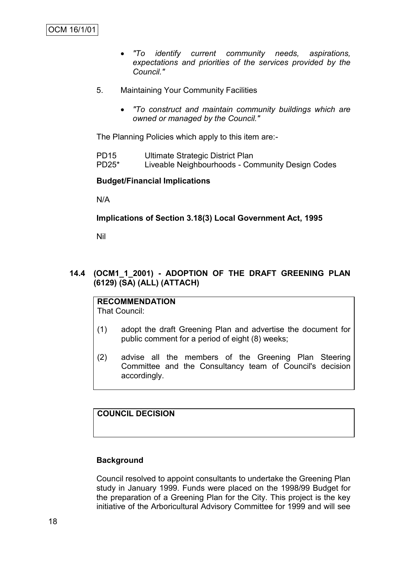- *"To identify current community needs, aspirations, expectations and priorities of the services provided by the Council."*
- 5. Maintaining Your Community Facilities
	- *"To construct and maintain community buildings which are owned or managed by the Council."*

The Planning Policies which apply to this item are:-

| <b>PD15</b> | Ultimate Strategic District Plan                 |
|-------------|--------------------------------------------------|
| $PD25^*$    | Liveable Neighbourhoods - Community Design Codes |

#### **Budget/Financial Implications**

N/A

#### **Implications of Section 3.18(3) Local Government Act, 1995**

Nil

## **14.4 (OCM1\_1\_2001) - ADOPTION OF THE DRAFT GREENING PLAN (6129) (SA) (ALL) (ATTACH)**

**RECOMMENDATION** That Council:

- (1) adopt the draft Greening Plan and advertise the document for public comment for a period of eight (8) weeks;
- (2) advise all the members of the Greening Plan Steering Committee and the Consultancy team of Council's decision accordingly.

**COUNCIL DECISION**

#### **Background**

Council resolved to appoint consultants to undertake the Greening Plan study in January 1999. Funds were placed on the 1998/99 Budget for the preparation of a Greening Plan for the City. This project is the key initiative of the Arboricultural Advisory Committee for 1999 and will see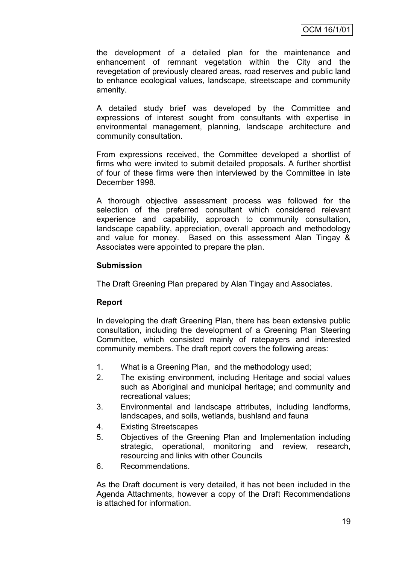the development of a detailed plan for the maintenance and enhancement of remnant vegetation within the City and the revegetation of previously cleared areas, road reserves and public land to enhance ecological values, landscape, streetscape and community amenity.

A detailed study brief was developed by the Committee and expressions of interest sought from consultants with expertise in environmental management, planning, landscape architecture and community consultation.

From expressions received, the Committee developed a shortlist of firms who were invited to submit detailed proposals. A further shortlist of four of these firms were then interviewed by the Committee in late December 1998.

A thorough objective assessment process was followed for the selection of the preferred consultant which considered relevant experience and capability, approach to community consultation, landscape capability, appreciation, overall approach and methodology and value for money. Based on this assessment Alan Tingay & Associates were appointed to prepare the plan.

#### **Submission**

The Draft Greening Plan prepared by Alan Tingay and Associates.

## **Report**

In developing the draft Greening Plan, there has been extensive public consultation, including the development of a Greening Plan Steering Committee, which consisted mainly of ratepayers and interested community members. The draft report covers the following areas:

- 1. What is a Greening Plan, and the methodology used;
- 2. The existing environment, including Heritage and social values such as Aboriginal and municipal heritage; and community and recreational values;
- 3. Environmental and landscape attributes, including landforms, landscapes, and soils, wetlands, bushland and fauna
- 4. Existing Streetscapes
- 5. Objectives of the Greening Plan and Implementation including strategic, operational, monitoring and review, research, resourcing and links with other Councils
- 6. Recommendations.

As the Draft document is very detailed, it has not been included in the Agenda Attachments, however a copy of the Draft Recommendations is attached for information.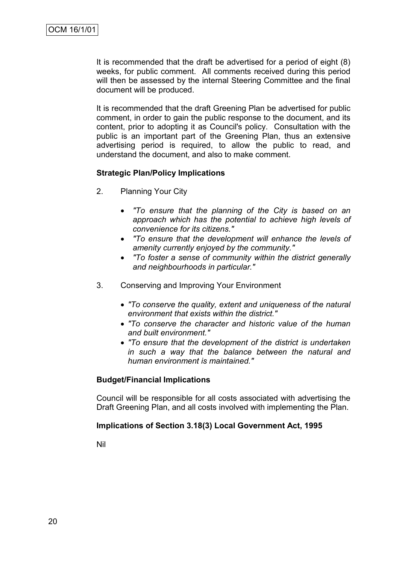It is recommended that the draft be advertised for a period of eight (8) weeks, for public comment. All comments received during this period will then be assessed by the internal Steering Committee and the final document will be produced.

It is recommended that the draft Greening Plan be advertised for public comment, in order to gain the public response to the document, and its content, prior to adopting it as Council's policy. Consultation with the public is an important part of the Greening Plan, thus an extensive advertising period is required, to allow the public to read, and understand the document, and also to make comment.

## **Strategic Plan/Policy Implications**

- 2. Planning Your City
	- *"To ensure that the planning of the City is based on an approach which has the potential to achieve high levels of convenience for its citizens."*
	- *"To ensure that the development will enhance the levels of amenity currently enjoyed by the community."*
	- *"To foster a sense of community within the district generally and neighbourhoods in particular."*
- 3. Conserving and Improving Your Environment
	- *"To conserve the quality, extent and uniqueness of the natural environment that exists within the district."*
	- *"To conserve the character and historic value of the human and built environment."*
	- *"To ensure that the development of the district is undertaken in such a way that the balance between the natural and human environment is maintained."*

#### **Budget/Financial Implications**

Council will be responsible for all costs associated with advertising the Draft Greening Plan, and all costs involved with implementing the Plan.

#### **Implications of Section 3.18(3) Local Government Act, 1995**

Nil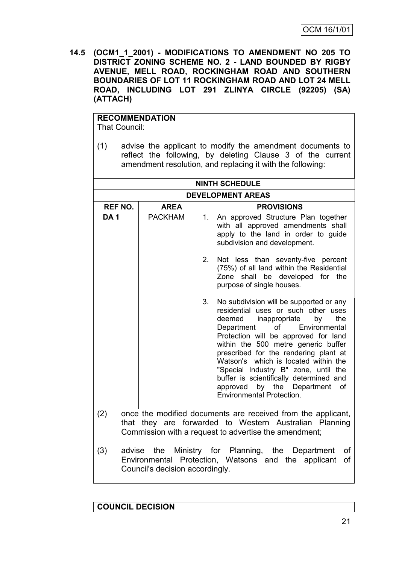**14.5 (OCM1\_1\_2001) - MODIFICATIONS TO AMENDMENT NO 205 TO DISTRICT ZONING SCHEME NO. 2 - LAND BOUNDED BY RIGBY AVENUE, MELL ROAD, ROCKINGHAM ROAD AND SOUTHERN BOUNDARIES OF LOT 11 ROCKINGHAM ROAD AND LOT 24 MELL ROAD, INCLUDING LOT 291 ZLINYA CIRCLE (92205) (SA) (ATTACH)**

| <b>RECOMMENDATION</b> |  |
|-----------------------|--|
| That Council:         |  |

(1) advise the applicant to modify the amendment documents to reflect the following, by deleting Clause 3 of the current amendment resolution, and replacing it with the following:

| <b>NINTH SCHEDULE</b>    |                                 |                                                                                                                                                                                                                                                                                                                                                                                                                                                                                              |  |  |
|--------------------------|---------------------------------|----------------------------------------------------------------------------------------------------------------------------------------------------------------------------------------------------------------------------------------------------------------------------------------------------------------------------------------------------------------------------------------------------------------------------------------------------------------------------------------------|--|--|
| <b>DEVELOPMENT AREAS</b> |                                 |                                                                                                                                                                                                                                                                                                                                                                                                                                                                                              |  |  |
| <b>REF NO.</b>           | <b>AREA</b>                     | <b>PROVISIONS</b>                                                                                                                                                                                                                                                                                                                                                                                                                                                                            |  |  |
| <b>DA1</b>               | <b>PACKHAM</b>                  | An approved Structure Plan together<br>1.<br>with all approved amendments shall<br>apply to the land in order to guide<br>subdivision and development.                                                                                                                                                                                                                                                                                                                                       |  |  |
|                          |                                 | 2.<br>Not less than seventy-five percent<br>(75%) of all land within the Residential<br>Zone shall be developed<br>for the<br>purpose of single houses.                                                                                                                                                                                                                                                                                                                                      |  |  |
|                          |                                 | 3.<br>No subdivision will be supported or any<br>residential uses or such other uses<br>deemed<br>inappropriate<br>the<br>by<br>of<br>Environmental<br>Department<br>Protection will be approved for land<br>within the 500 metre generic buffer<br>prescribed for the rendering plant at<br>Watson's which is located within the<br>"Special Industry B" zone, until the<br>buffer is scientifically determined and<br>approved by the Department<br>of<br><b>Environmental Protection.</b> |  |  |
| (2)                      |                                 | once the modified documents are received from the applicant,<br>that they are forwarded to Western Australian Planning<br>Commission with a request to advertise the amendment;                                                                                                                                                                                                                                                                                                              |  |  |
| (3)                      | Council's decision accordingly. | advise the Ministry for Planning, the<br>Department<br>οf<br>Environmental Protection, Watsons and the applicant<br>οf                                                                                                                                                                                                                                                                                                                                                                       |  |  |

**COUNCIL DECISION**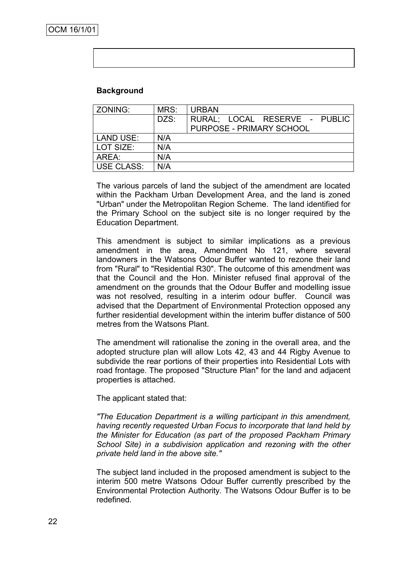### **Background**

| ZONING:    | MRS: | <b>URBAN</b>                    |
|------------|------|---------------------------------|
|            | DZS: | RURAL; LOCAL RESERVE - PUBLIC   |
|            |      | <b>PURPOSE - PRIMARY SCHOOL</b> |
| LAND USE:  | N/A  |                                 |
| LOT SIZE:  | N/A  |                                 |
| AREA:      | N/A  |                                 |
| USE CLASS: | N/A  |                                 |

The various parcels of land the subject of the amendment are located within the Packham Urban Development Area, and the land is zoned "Urban" under the Metropolitan Region Scheme. The land identified for the Primary School on the subject site is no longer required by the Education Department.

This amendment is subject to similar implications as a previous amendment in the area, Amendment No 121, where several landowners in the Watsons Odour Buffer wanted to rezone their land from "Rural" to "Residential R30". The outcome of this amendment was that the Council and the Hon. Minister refused final approval of the amendment on the grounds that the Odour Buffer and modelling issue was not resolved, resulting in a interim odour buffer. Council was advised that the Department of Environmental Protection opposed any further residential development within the interim buffer distance of 500 metres from the Watsons Plant.

The amendment will rationalise the zoning in the overall area, and the adopted structure plan will allow Lots 42, 43 and 44 Rigby Avenue to subdivide the rear portions of their properties into Residential Lots with road frontage. The proposed "Structure Plan" for the land and adjacent properties is attached.

The applicant stated that:

*"The Education Department is a willing participant in this amendment, having recently requested Urban Focus to incorporate that land held by the Minister for Education (as part of the proposed Packham Primary School Site) in a subdivision application and rezoning with the other private held land in the above site."*

The subject land included in the proposed amendment is subject to the interim 500 metre Watsons Odour Buffer currently prescribed by the Environmental Protection Authority. The Watsons Odour Buffer is to be redefined.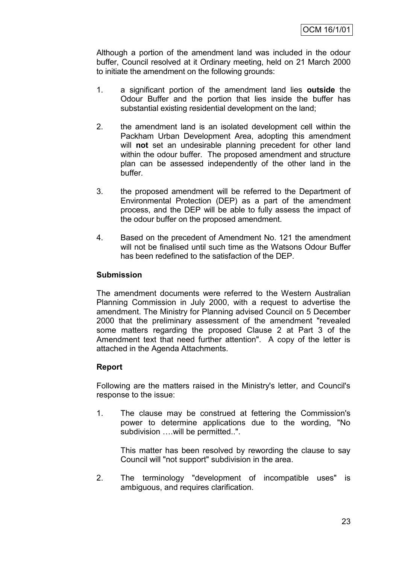Although a portion of the amendment land was included in the odour buffer, Council resolved at it Ordinary meeting, held on 21 March 2000 to initiate the amendment on the following grounds:

- 1. a significant portion of the amendment land lies **outside** the Odour Buffer and the portion that lies inside the buffer has substantial existing residential development on the land;
- 2. the amendment land is an isolated development cell within the Packham Urban Development Area, adopting this amendment will **not** set an undesirable planning precedent for other land within the odour buffer. The proposed amendment and structure plan can be assessed independently of the other land in the buffer.
- 3. the proposed amendment will be referred to the Department of Environmental Protection (DEP) as a part of the amendment process, and the DEP will be able to fully assess the impact of the odour buffer on the proposed amendment.
- 4. Based on the precedent of Amendment No. 121 the amendment will not be finalised until such time as the Watsons Odour Buffer has been redefined to the satisfaction of the DEP.

#### **Submission**

The amendment documents were referred to the Western Australian Planning Commission in July 2000, with a request to advertise the amendment. The Ministry for Planning advised Council on 5 December 2000 that the preliminary assessment of the amendment "revealed some matters regarding the proposed Clause 2 at Part 3 of the Amendment text that need further attention". A copy of the letter is attached in the Agenda Attachments.

#### **Report**

Following are the matters raised in the Ministry's letter, and Council's response to the issue:

1. The clause may be construed at fettering the Commission's power to determine applications due to the wording, "No subdivision ....will be permitted..".

This matter has been resolved by rewording the clause to say Council will "not support" subdivision in the area.

2. The terminology "development of incompatible uses" is ambiguous, and requires clarification.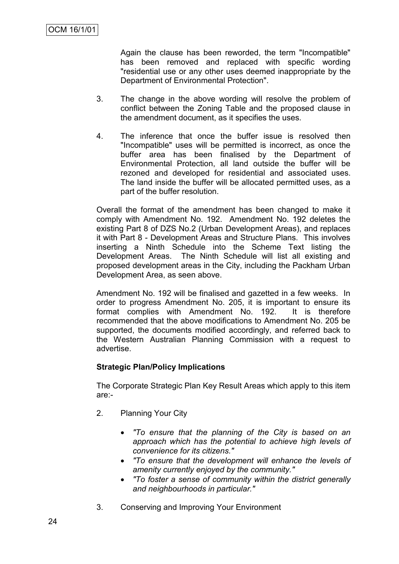Again the clause has been reworded, the term "Incompatible" has been removed and replaced with specific wording "residential use or any other uses deemed inappropriate by the Department of Environmental Protection".

- 3. The change in the above wording will resolve the problem of conflict between the Zoning Table and the proposed clause in the amendment document, as it specifies the uses.
- 4. The inference that once the buffer issue is resolved then "Incompatible" uses will be permitted is incorrect, as once the buffer area has been finalised by the Department of Environmental Protection, all land outside the buffer will be rezoned and developed for residential and associated uses. The land inside the buffer will be allocated permitted uses, as a part of the buffer resolution.

Overall the format of the amendment has been changed to make it comply with Amendment No. 192. Amendment No. 192 deletes the existing Part 8 of DZS No.2 (Urban Development Areas), and replaces it with Part 8 - Development Areas and Structure Plans. This involves inserting a Ninth Schedule into the Scheme Text listing the Development Areas. The Ninth Schedule will list all existing and proposed development areas in the City, including the Packham Urban Development Area, as seen above.

Amendment No. 192 will be finalised and gazetted in a few weeks. In order to progress Amendment No. 205, it is important to ensure its format complies with Amendment No. 192. It is therefore recommended that the above modifications to Amendment No. 205 be supported, the documents modified accordingly, and referred back to the Western Australian Planning Commission with a request to advertise.

## **Strategic Plan/Policy Implications**

The Corporate Strategic Plan Key Result Areas which apply to this item are:-

- 2. Planning Your City
	- *"To ensure that the planning of the City is based on an approach which has the potential to achieve high levels of convenience for its citizens."*
	- *"To ensure that the development will enhance the levels of amenity currently enjoyed by the community."*
	- *"To foster a sense of community within the district generally and neighbourhoods in particular."*
- 3. Conserving and Improving Your Environment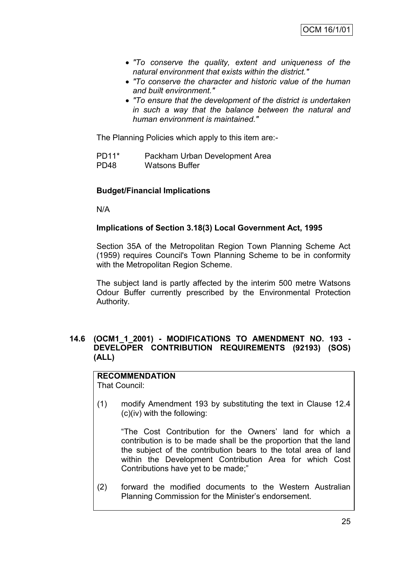- *"To conserve the quality, extent and uniqueness of the natural environment that exists within the district."*
- *"To conserve the character and historic value of the human and built environment."*
- *"To ensure that the development of the district is undertaken in such a way that the balance between the natural and human environment is maintained."*

The Planning Policies which apply to this item are:-

PD11\* Packham Urban Development Area PD48 Watsons Buffer

#### **Budget/Financial Implications**

N/A

#### **Implications of Section 3.18(3) Local Government Act, 1995**

Section 35A of the Metropolitan Region Town Planning Scheme Act (1959) requires Council's Town Planning Scheme to be in conformity with the Metropolitan Region Scheme.

The subject land is partly affected by the interim 500 metre Watsons Odour Buffer currently prescribed by the Environmental Protection Authority.

#### **14.6 (OCM1\_1\_2001) - MODIFICATIONS TO AMENDMENT NO. 193 - DEVELOPER CONTRIBUTION REQUIREMENTS (92193) (SOS) (ALL)**

#### **RECOMMENDATION** That Council:

(1) modify Amendment 193 by substituting the text in Clause 12.4 (c)(iv) with the following:

"The Cost Contribution for the Owners' land for which a contribution is to be made shall be the proportion that the land the subject of the contribution bears to the total area of land within the Development Contribution Area for which Cost Contributions have yet to be made;"

(2) forward the modified documents to the Western Australian Planning Commission for the Minister's endorsement.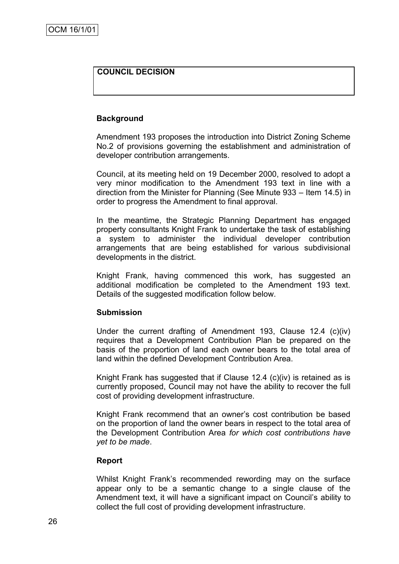## **COUNCIL DECISION**

#### **Background**

Amendment 193 proposes the introduction into District Zoning Scheme No.2 of provisions governing the establishment and administration of developer contribution arrangements.

Council, at its meeting held on 19 December 2000, resolved to adopt a very minor modification to the Amendment 193 text in line with a direction from the Minister for Planning (See Minute 933 – Item 14.5) in order to progress the Amendment to final approval.

In the meantime, the Strategic Planning Department has engaged property consultants Knight Frank to undertake the task of establishing a system to administer the individual developer contribution arrangements that are being established for various subdivisional developments in the district.

Knight Frank, having commenced this work, has suggested an additional modification be completed to the Amendment 193 text. Details of the suggested modification follow below.

#### **Submission**

Under the current drafting of Amendment 193, Clause 12.4 (c)(iv) requires that a Development Contribution Plan be prepared on the basis of the proportion of land each owner bears to the total area of land within the defined Development Contribution Area.

Knight Frank has suggested that if Clause 12.4 (c)(iv) is retained as is currently proposed, Council may not have the ability to recover the full cost of providing development infrastructure.

Knight Frank recommend that an owner's cost contribution be based on the proportion of land the owner bears in respect to the total area of the Development Contribution Area *for which cost contributions have yet to be made*.

#### **Report**

Whilst Knight Frank's recommended rewording may on the surface appear only to be a semantic change to a single clause of the Amendment text, it will have a significant impact on Council's ability to collect the full cost of providing development infrastructure.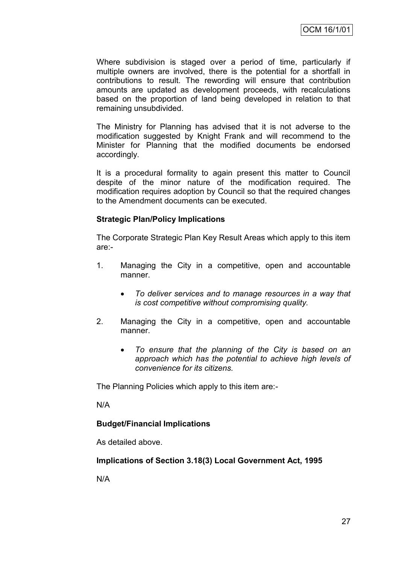Where subdivision is staged over a period of time, particularly if multiple owners are involved, there is the potential for a shortfall in contributions to result. The rewording will ensure that contribution amounts are updated as development proceeds, with recalculations based on the proportion of land being developed in relation to that remaining unsubdivided.

The Ministry for Planning has advised that it is not adverse to the modification suggested by Knight Frank and will recommend to the Minister for Planning that the modified documents be endorsed accordingly.

It is a procedural formality to again present this matter to Council despite of the minor nature of the modification required. The modification requires adoption by Council so that the required changes to the Amendment documents can be executed.

#### **Strategic Plan/Policy Implications**

The Corporate Strategic Plan Key Result Areas which apply to this item are:-

- 1. Managing the City in a competitive, open and accountable manner.
	- *To deliver services and to manage resources in a way that is cost competitive without compromising quality.*
- 2. Managing the City in a competitive, open and accountable manner.
	- *To ensure that the planning of the City is based on an approach which has the potential to achieve high levels of convenience for its citizens.*

The Planning Policies which apply to this item are:-

N/A

#### **Budget/Financial Implications**

As detailed above.

#### **Implications of Section 3.18(3) Local Government Act, 1995**

N/A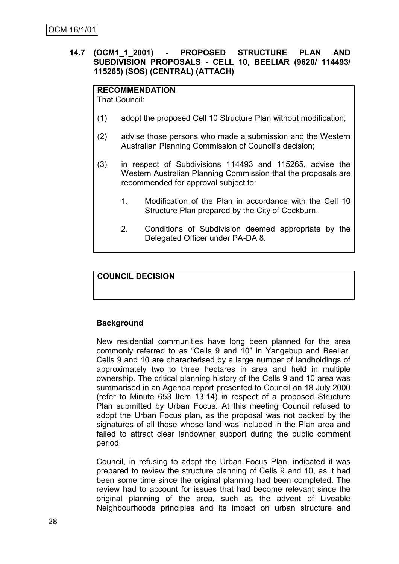## **14.7 (OCM1\_1\_2001) - PROPOSED STRUCTURE PLAN AND SUBDIVISION PROPOSALS - CELL 10, BEELIAR (9620/ 114493/ 115265) (SOS) (CENTRAL) (ATTACH)**

## **RECOMMENDATION**

That Council:

- (1) adopt the proposed Cell 10 Structure Plan without modification;
- (2) advise those persons who made a submission and the Western Australian Planning Commission of Council's decision;
- (3) in respect of Subdivisions 114493 and 115265, advise the Western Australian Planning Commission that the proposals are recommended for approval subject to:
	- 1. Modification of the Plan in accordance with the Cell 10 Structure Plan prepared by the City of Cockburn.
	- 2. Conditions of Subdivision deemed appropriate by the Delegated Officer under PA-DA 8.

## **COUNCIL DECISION**

## **Background**

New residential communities have long been planned for the area commonly referred to as "Cells 9 and 10" in Yangebup and Beeliar. Cells 9 and 10 are characterised by a large number of landholdings of approximately two to three hectares in area and held in multiple ownership. The critical planning history of the Cells 9 and 10 area was summarised in an Agenda report presented to Council on 18 July 2000 (refer to Minute 653 Item 13.14) in respect of a proposed Structure Plan submitted by Urban Focus. At this meeting Council refused to adopt the Urban Focus plan, as the proposal was not backed by the signatures of all those whose land was included in the Plan area and failed to attract clear landowner support during the public comment period.

Council, in refusing to adopt the Urban Focus Plan, indicated it was prepared to review the structure planning of Cells 9 and 10, as it had been some time since the original planning had been completed. The review had to account for issues that had become relevant since the original planning of the area, such as the advent of Liveable Neighbourhoods principles and its impact on urban structure and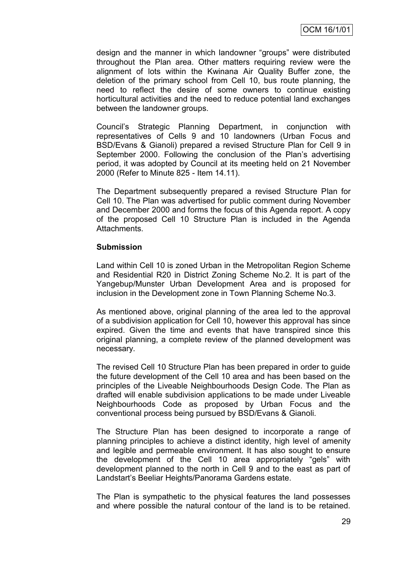design and the manner in which landowner "groups" were distributed throughout the Plan area. Other matters requiring review were the alignment of lots within the Kwinana Air Quality Buffer zone, the deletion of the primary school from Cell 10, bus route planning, the need to reflect the desire of some owners to continue existing horticultural activities and the need to reduce potential land exchanges between the landowner groups.

Council's Strategic Planning Department, in conjunction with representatives of Cells 9 and 10 landowners (Urban Focus and BSD/Evans & Gianoli) prepared a revised Structure Plan for Cell 9 in September 2000. Following the conclusion of the Plan's advertising period, it was adopted by Council at its meeting held on 21 November 2000 (Refer to Minute 825 - Item 14.11).

The Department subsequently prepared a revised Structure Plan for Cell 10. The Plan was advertised for public comment during November and December 2000 and forms the focus of this Agenda report. A copy of the proposed Cell 10 Structure Plan is included in the Agenda Attachments.

#### **Submission**

Land within Cell 10 is zoned Urban in the Metropolitan Region Scheme and Residential R20 in District Zoning Scheme No.2. It is part of the Yangebup/Munster Urban Development Area and is proposed for inclusion in the Development zone in Town Planning Scheme No.3.

As mentioned above, original planning of the area led to the approval of a subdivision application for Cell 10, however this approval has since expired. Given the time and events that have transpired since this original planning, a complete review of the planned development was necessary.

The revised Cell 10 Structure Plan has been prepared in order to guide the future development of the Cell 10 area and has been based on the principles of the Liveable Neighbourhoods Design Code. The Plan as drafted will enable subdivision applications to be made under Liveable Neighbourhoods Code as proposed by Urban Focus and the conventional process being pursued by BSD/Evans & Gianoli.

The Structure Plan has been designed to incorporate a range of planning principles to achieve a distinct identity, high level of amenity and legible and permeable environment. It has also sought to ensure the development of the Cell 10 area appropriately "gels" with development planned to the north in Cell 9 and to the east as part of Landstart's Beeliar Heights/Panorama Gardens estate.

The Plan is sympathetic to the physical features the land possesses and where possible the natural contour of the land is to be retained.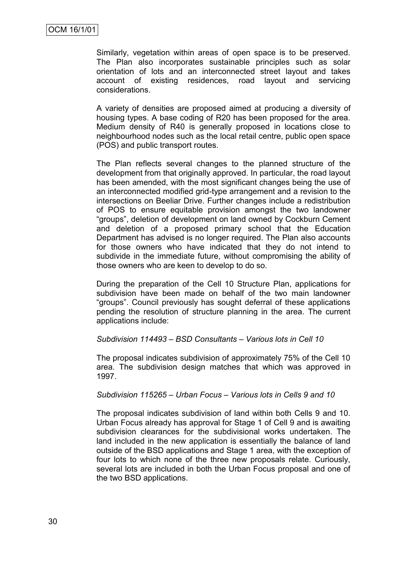Similarly, vegetation within areas of open space is to be preserved. The Plan also incorporates sustainable principles such as solar orientation of lots and an interconnected street layout and takes account of existing residences, road layout and servicing considerations.

A variety of densities are proposed aimed at producing a diversity of housing types. A base coding of R20 has been proposed for the area. Medium density of R40 is generally proposed in locations close to neighbourhood nodes such as the local retail centre, public open space (POS) and public transport routes.

The Plan reflects several changes to the planned structure of the development from that originally approved. In particular, the road layout has been amended, with the most significant changes being the use of an interconnected modified grid-type arrangement and a revision to the intersections on Beeliar Drive. Further changes include a redistribution of POS to ensure equitable provision amongst the two landowner "groups", deletion of development on land owned by Cockburn Cement and deletion of a proposed primary school that the Education Department has advised is no longer required. The Plan also accounts for those owners who have indicated that they do not intend to subdivide in the immediate future, without compromising the ability of those owners who are keen to develop to do so.

During the preparation of the Cell 10 Structure Plan, applications for subdivision have been made on behalf of the two main landowner "groups". Council previously has sought deferral of these applications pending the resolution of structure planning in the area. The current applications include:

#### *Subdivision 114493 – BSD Consultants – Various lots in Cell 10*

The proposal indicates subdivision of approximately 75% of the Cell 10 area. The subdivision design matches that which was approved in 1997.

#### *Subdivision 115265 – Urban Focus – Various lots in Cells 9 and 10*

The proposal indicates subdivision of land within both Cells 9 and 10. Urban Focus already has approval for Stage 1 of Cell 9 and is awaiting subdivision clearances for the subdivisional works undertaken. The land included in the new application is essentially the balance of land outside of the BSD applications and Stage 1 area, with the exception of four lots to which none of the three new proposals relate. Curiously, several lots are included in both the Urban Focus proposal and one of the two BSD applications.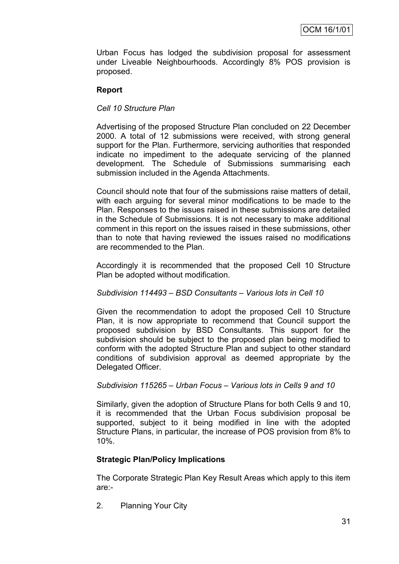Urban Focus has lodged the subdivision proposal for assessment under Liveable Neighbourhoods. Accordingly 8% POS provision is proposed.

#### **Report**

## *Cell 10 Structure Plan*

Advertising of the proposed Structure Plan concluded on 22 December 2000. A total of 12 submissions were received, with strong general support for the Plan. Furthermore, servicing authorities that responded indicate no impediment to the adequate servicing of the planned development. The Schedule of Submissions summarising each submission included in the Agenda Attachments.

Council should note that four of the submissions raise matters of detail, with each arguing for several minor modifications to be made to the Plan. Responses to the issues raised in these submissions are detailed in the Schedule of Submissions. It is not necessary to make additional comment in this report on the issues raised in these submissions, other than to note that having reviewed the issues raised no modifications are recommended to the Plan.

Accordingly it is recommended that the proposed Cell 10 Structure Plan be adopted without modification.

#### *Subdivision 114493 – BSD Consultants – Various lots in Cell 10*

Given the recommendation to adopt the proposed Cell 10 Structure Plan, it is now appropriate to recommend that Council support the proposed subdivision by BSD Consultants. This support for the subdivision should be subject to the proposed plan being modified to conform with the adopted Structure Plan and subject to other standard conditions of subdivision approval as deemed appropriate by the Delegated Officer.

#### *Subdivision 115265 – Urban Focus – Various lots in Cells 9 and 10*

Similarly, given the adoption of Structure Plans for both Cells 9 and 10, it is recommended that the Urban Focus subdivision proposal be supported, subject to it being modified in line with the adopted Structure Plans, in particular, the increase of POS provision from 8% to 10%.

## **Strategic Plan/Policy Implications**

The Corporate Strategic Plan Key Result Areas which apply to this item are:-

2. Planning Your City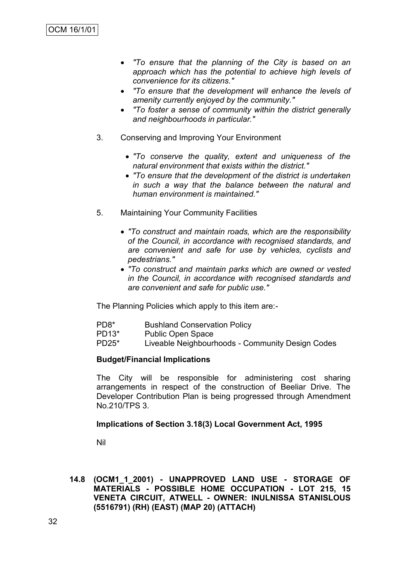- *"To ensure that the planning of the City is based on an approach which has the potential to achieve high levels of convenience for its citizens."*
- *"To ensure that the development will enhance the levels of amenity currently enjoyed by the community."*
- *"To foster a sense of community within the district generally and neighbourhoods in particular."*
- 3. Conserving and Improving Your Environment
	- *"To conserve the quality, extent and uniqueness of the natural environment that exists within the district."*
	- *"To ensure that the development of the district is undertaken in such a way that the balance between the natural and human environment is maintained."*
- 5. Maintaining Your Community Facilities
	- *"To construct and maintain roads, which are the responsibility of the Council, in accordance with recognised standards, and are convenient and safe for use by vehicles, cyclists and pedestrians."*
	- *"To construct and maintain parks which are owned or vested in the Council, in accordance with recognised standards and are convenient and safe for public use."*

The Planning Policies which apply to this item are:-

- PD8\* Bushland Conservation Policy
- PD13\* Public Open Space
- PD25\* Liveable Neighbourhoods Community Design Codes

#### **Budget/Financial Implications**

The City will be responsible for administering cost sharing arrangements in respect of the construction of Beeliar Drive. The Developer Contribution Plan is being progressed through Amendment No.210/TPS 3.

#### **Implications of Section 3.18(3) Local Government Act, 1995**

Nil

**14.8 (OCM1\_1\_2001) - UNAPPROVED LAND USE - STORAGE OF MATERIALS - POSSIBLE HOME OCCUPATION - LOT 215, 15 VENETA CIRCUIT, ATWELL - OWNER: INULNISSA STANISLOUS (5516791) (RH) (EAST) (MAP 20) (ATTACH)**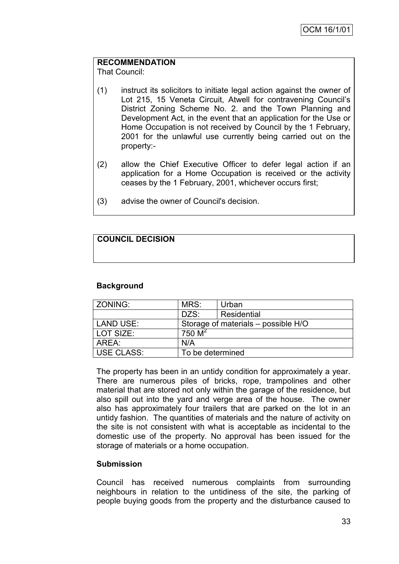## **RECOMMENDATION**

That Council:

- (1) instruct its solicitors to initiate legal action against the owner of Lot 215, 15 Veneta Circuit, Atwell for contravening Council's District Zoning Scheme No. 2. and the Town Planning and Development Act, in the event that an application for the Use or Home Occupation is not received by Council by the 1 February, 2001 for the unlawful use currently being carried out on the property:-
- (2) allow the Chief Executive Officer to defer legal action if an application for a Home Occupation is received or the activity ceases by the 1 February, 2001, whichever occurs first;
- (3) advise the owner of Council's decision.

## **COUNCIL DECISION**

#### **Background**

| <b>ZONING:</b>    | MRS:             | Urban                               |
|-------------------|------------------|-------------------------------------|
|                   | DZS:             | Residential                         |
| <b>LAND USE:</b>  |                  | Storage of materials – possible H/O |
| LOT SIZE:         | 750 $M^2$        |                                     |
| AREA:             | N/A              |                                     |
| <b>USE CLASS:</b> | To be determined |                                     |

The property has been in an untidy condition for approximately a year. There are numerous piles of bricks, rope, trampolines and other material that are stored not only within the garage of the residence, but also spill out into the yard and verge area of the house. The owner also has approximately four trailers that are parked on the lot in an untidy fashion. The quantities of materials and the nature of activity on the site is not consistent with what is acceptable as incidental to the domestic use of the property. No approval has been issued for the storage of materials or a home occupation.

#### **Submission**

Council has received numerous complaints from surrounding neighbours in relation to the untidiness of the site, the parking of people buying goods from the property and the disturbance caused to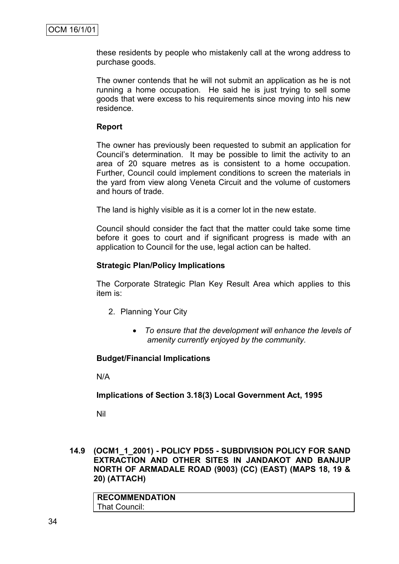these residents by people who mistakenly call at the wrong address to purchase goods.

The owner contends that he will not submit an application as he is not running a home occupation. He said he is just trying to sell some goods that were excess to his requirements since moving into his new residence.

#### **Report**

The owner has previously been requested to submit an application for Council's determination. It may be possible to limit the activity to an area of 20 square metres as is consistent to a home occupation. Further, Council could implement conditions to screen the materials in the yard from view along Veneta Circuit and the volume of customers and hours of trade.

The land is highly visible as it is a corner lot in the new estate.

Council should consider the fact that the matter could take some time before it goes to court and if significant progress is made with an application to Council for the use, legal action can be halted.

#### **Strategic Plan/Policy Implications**

The Corporate Strategic Plan Key Result Area which applies to this item is:

- 2. Planning Your City
	- *To ensure that the development will enhance the levels of amenity currently enjoyed by the community.*

#### **Budget/Financial Implications**

N/A

#### **Implications of Section 3.18(3) Local Government Act, 1995**

Nil

**14.9 (OCM1\_1\_2001) - POLICY PD55 - SUBDIVISION POLICY FOR SAND EXTRACTION AND OTHER SITES IN JANDAKOT AND BANJUP NORTH OF ARMADALE ROAD (9003) (CC) (EAST) (MAPS 18, 19 & 20) (ATTACH)**

**RECOMMENDATION** That Council: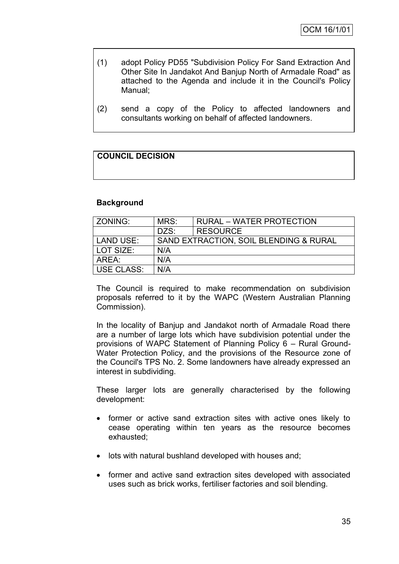- (1) adopt Policy PD55 "Subdivision Policy For Sand Extraction And Other Site In Jandakot And Banjup North of Armadale Road" as attached to the Agenda and include it in the Council's Policy Manual;
- (2) send a copy of the Policy to affected landowners and consultants working on behalf of affected landowners.

## **COUNCIL DECISION**

#### **Background**

| ZONING:           | MRS: | <b>RURAL – WATER PROTECTION</b>        |
|-------------------|------|----------------------------------------|
|                   | DZS: | <b>RESOURCE</b>                        |
| <b>LAND USE:</b>  |      | SAND EXTRACTION, SOIL BLENDING & RURAL |
| LOT SIZE:         | N/A  |                                        |
| AREA:             | N/A  |                                        |
| <b>USE CLASS:</b> | N/A  |                                        |

The Council is required to make recommendation on subdivision proposals referred to it by the WAPC (Western Australian Planning Commission).

In the locality of Banjup and Jandakot north of Armadale Road there are a number of large lots which have subdivision potential under the provisions of WAPC Statement of Planning Policy 6 – Rural Ground-Water Protection Policy, and the provisions of the Resource zone of the Council's TPS No. 2. Some landowners have already expressed an interest in subdividing.

These larger lots are generally characterised by the following development:

- former or active sand extraction sites with active ones likely to cease operating within ten years as the resource becomes exhausted;
- lots with natural bushland developed with houses and;
- former and active sand extraction sites developed with associated uses such as brick works, fertiliser factories and soil blending.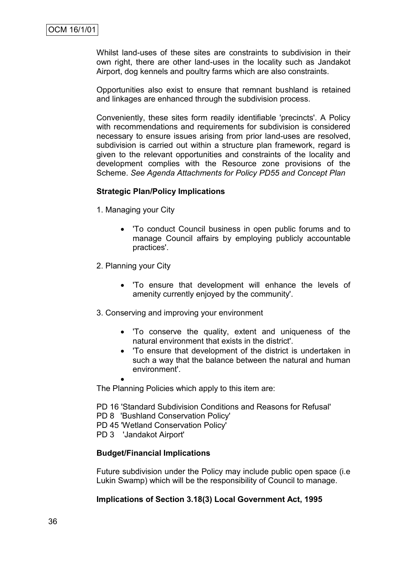Whilst land-uses of these sites are constraints to subdivision in their own right, there are other land-uses in the locality such as Jandakot Airport, dog kennels and poultry farms which are also constraints.

Opportunities also exist to ensure that remnant bushland is retained and linkages are enhanced through the subdivision process.

Conveniently, these sites form readily identifiable 'precincts'. A Policy with recommendations and requirements for subdivision is considered necessary to ensure issues arising from prior land-uses are resolved, subdivision is carried out within a structure plan framework, regard is given to the relevant opportunities and constraints of the locality and development complies with the Resource zone provisions of the Scheme. *See Agenda Attachments for Policy PD55 and Concept Plan*

#### **Strategic Plan/Policy Implications**

- 1. Managing your City
	- 'To conduct Council business in open public forums and to manage Council affairs by employing publicly accountable practices'.
- 2. Planning your City

 $\bullet$ 

- 'To ensure that development will enhance the levels of amenity currently enjoyed by the community'.
- 3. Conserving and improving your environment
	- 'To conserve the quality, extent and uniqueness of the natural environment that exists in the district'.
	- 'To ensure that development of the district is undertaken in such a way that the balance between the natural and human environment'.

The Planning Policies which apply to this item are:

PD 16 'Standard Subdivision Conditions and Reasons for Refusal' PD 8 'Bushland Conservation Policy' PD 45 'Wetland Conservation Policy' PD 3 'Jandakot Airport'

#### **Budget/Financial Implications**

Future subdivision under the Policy may include public open space (i.e Lukin Swamp) which will be the responsibility of Council to manage.

#### **Implications of Section 3.18(3) Local Government Act, 1995**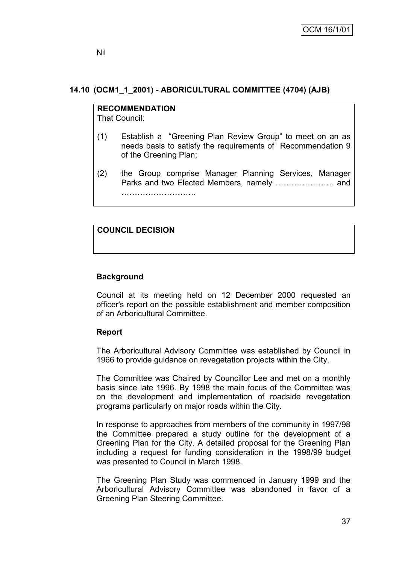## **14.10 (OCM1\_1\_2001) - ABORICULTURAL COMMITTEE (4704) (AJB)**

## **RECOMMENDATION** That Council: (1) Establish a "Greening Plan Review Group" to meet on an as needs basis to satisfy the requirements of Recommendation 9 of the Greening Plan; (2) the Group comprise Manager Planning Services, Manager Parks and two Elected Members, namely …………………. and …………………………………

#### **COUNCIL DECISION**

#### **Background**

Council at its meeting held on 12 December 2000 requested an officer's report on the possible establishment and member composition of an Arboricultural Committee.

#### **Report**

The Arboricultural Advisory Committee was established by Council in 1966 to provide guidance on revegetation projects within the City.

The Committee was Chaired by Councillor Lee and met on a monthly basis since late 1996. By 1998 the main focus of the Committee was on the development and implementation of roadside revegetation programs particularly on major roads within the City.

In response to approaches from members of the community in 1997/98 the Committee prepared a study outline for the development of a Greening Plan for the City. A detailed proposal for the Greening Plan including a request for funding consideration in the 1998/99 budget was presented to Council in March 1998.

The Greening Plan Study was commenced in January 1999 and the Arboricultural Advisory Committee was abandoned in favor of a Greening Plan Steering Committee.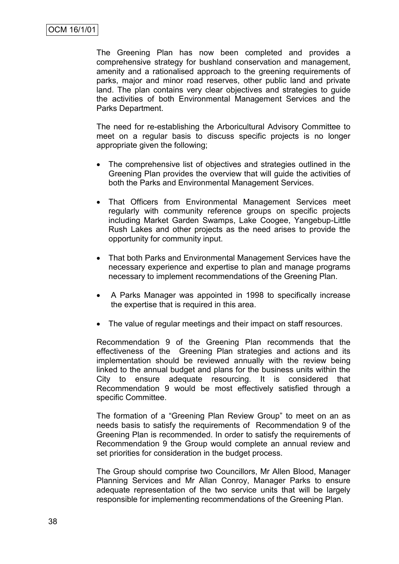The Greening Plan has now been completed and provides a comprehensive strategy for bushland conservation and management, amenity and a rationalised approach to the greening requirements of parks, major and minor road reserves, other public land and private land. The plan contains very clear objectives and strategies to guide the activities of both Environmental Management Services and the Parks Department.

The need for re-establishing the Arboricultural Advisory Committee to meet on a regular basis to discuss specific projects is no longer appropriate given the following;

- The comprehensive list of objectives and strategies outlined in the Greening Plan provides the overview that will guide the activities of both the Parks and Environmental Management Services.
- That Officers from Environmental Management Services meet regularly with community reference groups on specific projects including Market Garden Swamps, Lake Coogee, Yangebup-Little Rush Lakes and other projects as the need arises to provide the opportunity for community input.
- That both Parks and Environmental Management Services have the necessary experience and expertise to plan and manage programs necessary to implement recommendations of the Greening Plan.
- A Parks Manager was appointed in 1998 to specifically increase the expertise that is required in this area.
- The value of regular meetings and their impact on staff resources.

Recommendation 9 of the Greening Plan recommends that the effectiveness of the Greening Plan strategies and actions and its implementation should be reviewed annually with the review being linked to the annual budget and plans for the business units within the City to ensure adequate resourcing. It is considered that Recommendation 9 would be most effectively satisfied through a specific Committee.

The formation of a "Greening Plan Review Group" to meet on an as needs basis to satisfy the requirements of Recommendation 9 of the Greening Plan is recommended. In order to satisfy the requirements of Recommendation 9 the Group would complete an annual review and set priorities for consideration in the budget process.

The Group should comprise two Councillors, Mr Allen Blood, Manager Planning Services and Mr Allan Conroy, Manager Parks to ensure adequate representation of the two service units that will be largely responsible for implementing recommendations of the Greening Plan.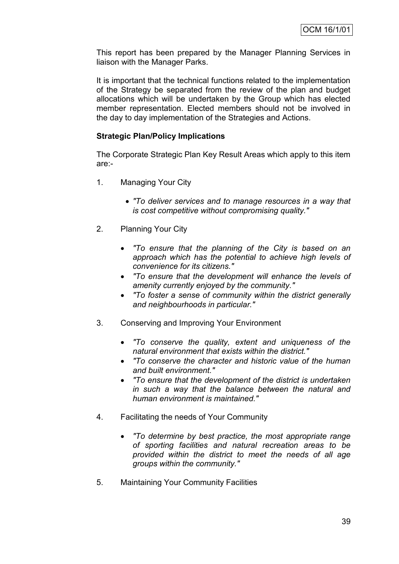This report has been prepared by the Manager Planning Services in liaison with the Manager Parks.

It is important that the technical functions related to the implementation of the Strategy be separated from the review of the plan and budget allocations which will be undertaken by the Group which has elected member representation. Elected members should not be involved in the day to day implementation of the Strategies and Actions.

## **Strategic Plan/Policy Implications**

The Corporate Strategic Plan Key Result Areas which apply to this item are:-

- 1. Managing Your City
	- *"To deliver services and to manage resources in a way that is cost competitive without compromising quality."*
- 2. Planning Your City
	- *"To ensure that the planning of the City is based on an approach which has the potential to achieve high levels of convenience for its citizens."*
	- *"To ensure that the development will enhance the levels of amenity currently enjoyed by the community."*
	- *"To foster a sense of community within the district generally and neighbourhoods in particular."*
- 3. Conserving and Improving Your Environment
	- *"To conserve the quality, extent and uniqueness of the natural environment that exists within the district."*
	- *"To conserve the character and historic value of the human and built environment."*
	- *"To ensure that the development of the district is undertaken in such a way that the balance between the natural and human environment is maintained."*
- 4. Facilitating the needs of Your Community
	- *"To determine by best practice, the most appropriate range of sporting facilities and natural recreation areas to be provided within the district to meet the needs of all age groups within the community."*
- 5. Maintaining Your Community Facilities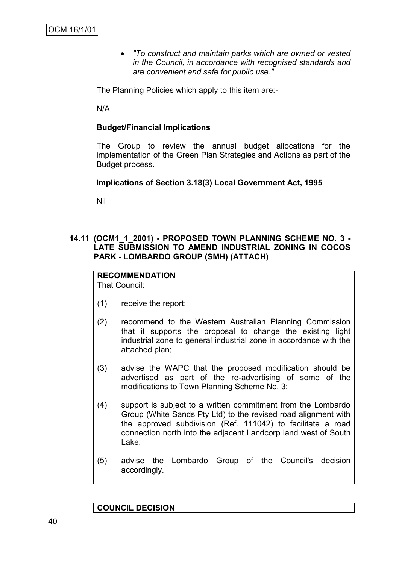*"To construct and maintain parks which are owned or vested in the Council, in accordance with recognised standards and are convenient and safe for public use."*

The Planning Policies which apply to this item are:-

N/A

### **Budget/Financial Implications**

The Group to review the annual budget allocations for the implementation of the Green Plan Strategies and Actions as part of the Budget process.

## **Implications of Section 3.18(3) Local Government Act, 1995**

Nil

## **14.11 (OCM1\_1\_2001) - PROPOSED TOWN PLANNING SCHEME NO. 3 - LATE SUBMISSION TO AMEND INDUSTRIAL ZONING IN COCOS PARK - LOMBARDO GROUP (SMH) (ATTACH)**

# **RECOMMENDATION**

That Council:

- (1) receive the report;
- (2) recommend to the Western Australian Planning Commission that it supports the proposal to change the existing light industrial zone to general industrial zone in accordance with the attached plan;
- (3) advise the WAPC that the proposed modification should be advertised as part of the re-advertising of some of the modifications to Town Planning Scheme No. 3;
- (4) support is subject to a written commitment from the Lombardo Group (White Sands Pty Ltd) to the revised road alignment with the approved subdivision (Ref. 111042) to facilitate a road connection north into the adjacent Landcorp land west of South Lake;
- (5) advise the Lombardo Group of the Council's decision accordingly.

**COUNCIL DECISION**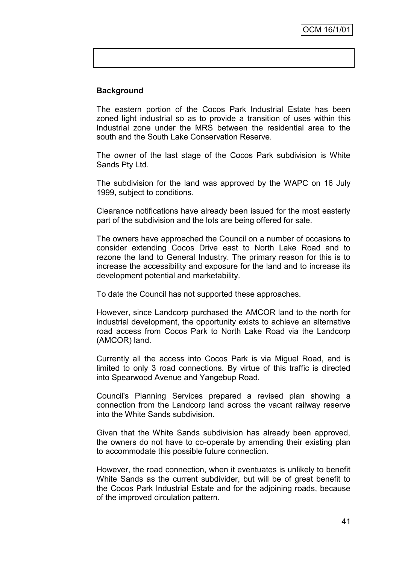#### **Background**

The eastern portion of the Cocos Park Industrial Estate has been zoned light industrial so as to provide a transition of uses within this Industrial zone under the MRS between the residential area to the south and the South Lake Conservation Reserve.

The owner of the last stage of the Cocos Park subdivision is White Sands Pty Ltd.

The subdivision for the land was approved by the WAPC on 16 July 1999, subject to conditions.

Clearance notifications have already been issued for the most easterly part of the subdivision and the lots are being offered for sale.

The owners have approached the Council on a number of occasions to consider extending Cocos Drive east to North Lake Road and to rezone the land to General Industry. The primary reason for this is to increase the accessibility and exposure for the land and to increase its development potential and marketability.

To date the Council has not supported these approaches.

However, since Landcorp purchased the AMCOR land to the north for industrial development, the opportunity exists to achieve an alternative road access from Cocos Park to North Lake Road via the Landcorp (AMCOR) land.

Currently all the access into Cocos Park is via Miguel Road, and is limited to only 3 road connections. By virtue of this traffic is directed into Spearwood Avenue and Yangebup Road.

Council's Planning Services prepared a revised plan showing a connection from the Landcorp land across the vacant railway reserve into the White Sands subdivision.

Given that the White Sands subdivision has already been approved, the owners do not have to co-operate by amending their existing plan to accommodate this possible future connection.

However, the road connection, when it eventuates is unlikely to benefit White Sands as the current subdivider, but will be of great benefit to the Cocos Park Industrial Estate and for the adjoining roads, because of the improved circulation pattern.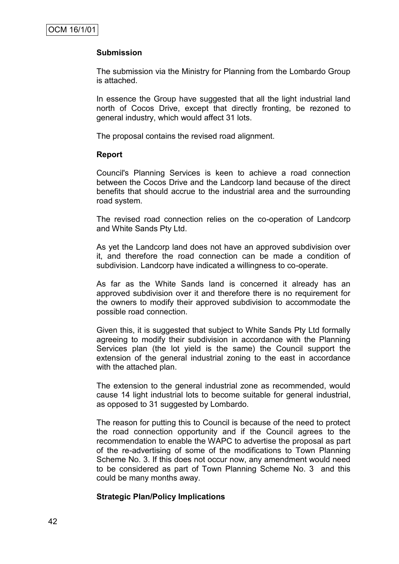#### **Submission**

The submission via the Ministry for Planning from the Lombardo Group is attached.

In essence the Group have suggested that all the light industrial land north of Cocos Drive, except that directly fronting, be rezoned to general industry, which would affect 31 lots.

The proposal contains the revised road alignment.

#### **Report**

Council's Planning Services is keen to achieve a road connection between the Cocos Drive and the Landcorp land because of the direct benefits that should accrue to the industrial area and the surrounding road system.

The revised road connection relies on the co-operation of Landcorp and White Sands Pty Ltd.

As yet the Landcorp land does not have an approved subdivision over it, and therefore the road connection can be made a condition of subdivision. Landcorp have indicated a willingness to co-operate.

As far as the White Sands land is concerned it already has an approved subdivision over it and therefore there is no requirement for the owners to modify their approved subdivision to accommodate the possible road connection.

Given this, it is suggested that subject to White Sands Pty Ltd formally agreeing to modify their subdivision in accordance with the Planning Services plan (the lot yield is the same) the Council support the extension of the general industrial zoning to the east in accordance with the attached plan.

The extension to the general industrial zone as recommended, would cause 14 light industrial lots to become suitable for general industrial, as opposed to 31 suggested by Lombardo.

The reason for putting this to Council is because of the need to protect the road connection opportunity and if the Council agrees to the recommendation to enable the WAPC to advertise the proposal as part of the re-advertising of some of the modifications to Town Planning Scheme No. 3. If this does not occur now, any amendment would need to be considered as part of Town Planning Scheme No. 3 and this could be many months away.

#### **Strategic Plan/Policy Implications**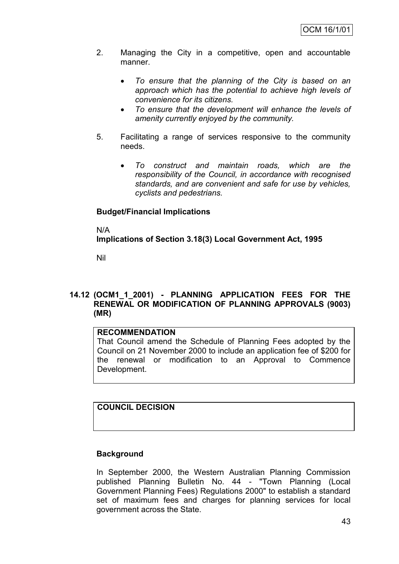- 2. Managing the City in a competitive, open and accountable manner.
	- *To ensure that the planning of the City is based on an approach which has the potential to achieve high levels of convenience for its citizens.*
	- *To ensure that the development will enhance the levels of amenity currently enjoyed by the community.*
- 5. Facilitating a range of services responsive to the community needs.
	- *To construct and maintain roads, which are the responsibility of the Council, in accordance with recognised standards, and are convenient and safe for use by vehicles, cyclists and pedestrians.*

## **Budget/Financial Implications**

N/A

**Implications of Section 3.18(3) Local Government Act, 1995**

Nil

## **14.12 (OCM1\_1\_2001) - PLANNING APPLICATION FEES FOR THE RENEWAL OR MODIFICATION OF PLANNING APPROVALS (9003) (MR)**

#### **RECOMMENDATION**

That Council amend the Schedule of Planning Fees adopted by the Council on 21 November 2000 to include an application fee of \$200 for the renewal or modification to an Approval to Commence Development.

## **COUNCIL DECISION**

#### **Background**

In September 2000, the Western Australian Planning Commission published Planning Bulletin No. 44 - "Town Planning (Local Government Planning Fees) Regulations 2000" to establish a standard set of maximum fees and charges for planning services for local government across the State.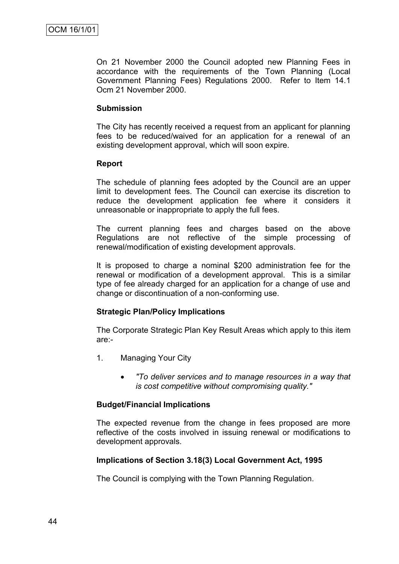On 21 November 2000 the Council adopted new Planning Fees in accordance with the requirements of the Town Planning (Local Government Planning Fees) Regulations 2000. Refer to Item 14.1 Ocm 21 November 2000.

#### **Submission**

The City has recently received a request from an applicant for planning fees to be reduced/waived for an application for a renewal of an existing development approval, which will soon expire.

#### **Report**

The schedule of planning fees adopted by the Council are an upper limit to development fees. The Council can exercise its discretion to reduce the development application fee where it considers it unreasonable or inappropriate to apply the full fees.

The current planning fees and charges based on the above Regulations are not reflective of the simple processing of renewal/modification of existing development approvals.

It is proposed to charge a nominal \$200 administration fee for the renewal or modification of a development approval. This is a similar type of fee already charged for an application for a change of use and change or discontinuation of a non-conforming use.

#### **Strategic Plan/Policy Implications**

The Corporate Strategic Plan Key Result Areas which apply to this item are:-

- 1. Managing Your City
	- *"To deliver services and to manage resources in a way that is cost competitive without compromising quality."*

#### **Budget/Financial Implications**

The expected revenue from the change in fees proposed are more reflective of the costs involved in issuing renewal or modifications to development approvals.

#### **Implications of Section 3.18(3) Local Government Act, 1995**

The Council is complying with the Town Planning Regulation.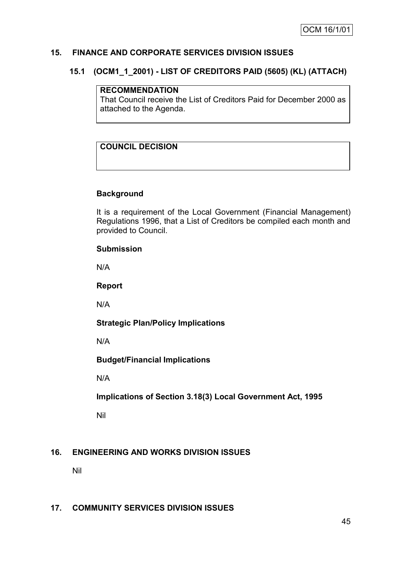## **15. FINANCE AND CORPORATE SERVICES DIVISION ISSUES**

## **15.1 (OCM1\_1\_2001) - LIST OF CREDITORS PAID (5605) (KL) (ATTACH)**

## **RECOMMENDATION**

That Council receive the List of Creditors Paid for December 2000 as attached to the Agenda.

## **COUNCIL DECISION**

#### **Background**

It is a requirement of the Local Government (Financial Management) Regulations 1996, that a List of Creditors be compiled each month and provided to Council.

#### **Submission**

N/A

#### **Report**

N/A

**Strategic Plan/Policy Implications**

N/A

## **Budget/Financial Implications**

N/A

**Implications of Section 3.18(3) Local Government Act, 1995**

Nil

## **16. ENGINEERING AND WORKS DIVISION ISSUES**

Nil

## **17. COMMUNITY SERVICES DIVISION ISSUES**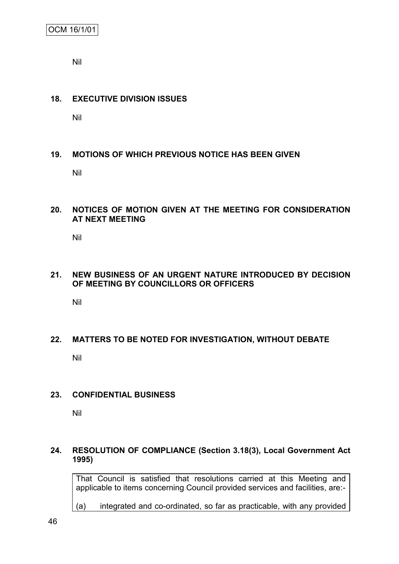OCM 16/1/01

Nil

#### **18. EXECUTIVE DIVISION ISSUES**

Nil

#### **19. MOTIONS OF WHICH PREVIOUS NOTICE HAS BEEN GIVEN**

Nil

#### **20. NOTICES OF MOTION GIVEN AT THE MEETING FOR CONSIDERATION AT NEXT MEETING**

Nil

#### **21. NEW BUSINESS OF AN URGENT NATURE INTRODUCED BY DECISION OF MEETING BY COUNCILLORS OR OFFICERS**

Nil

#### **22. MATTERS TO BE NOTED FOR INVESTIGATION, WITHOUT DEBATE**

Nil

#### **23. CONFIDENTIAL BUSINESS**

Nil

#### **24. RESOLUTION OF COMPLIANCE (Section 3.18(3), Local Government Act 1995)**

That Council is satisfied that resolutions carried at this Meeting and applicable to items concerning Council provided services and facilities, are:-

(a) integrated and co-ordinated, so far as practicable, with any provided

46